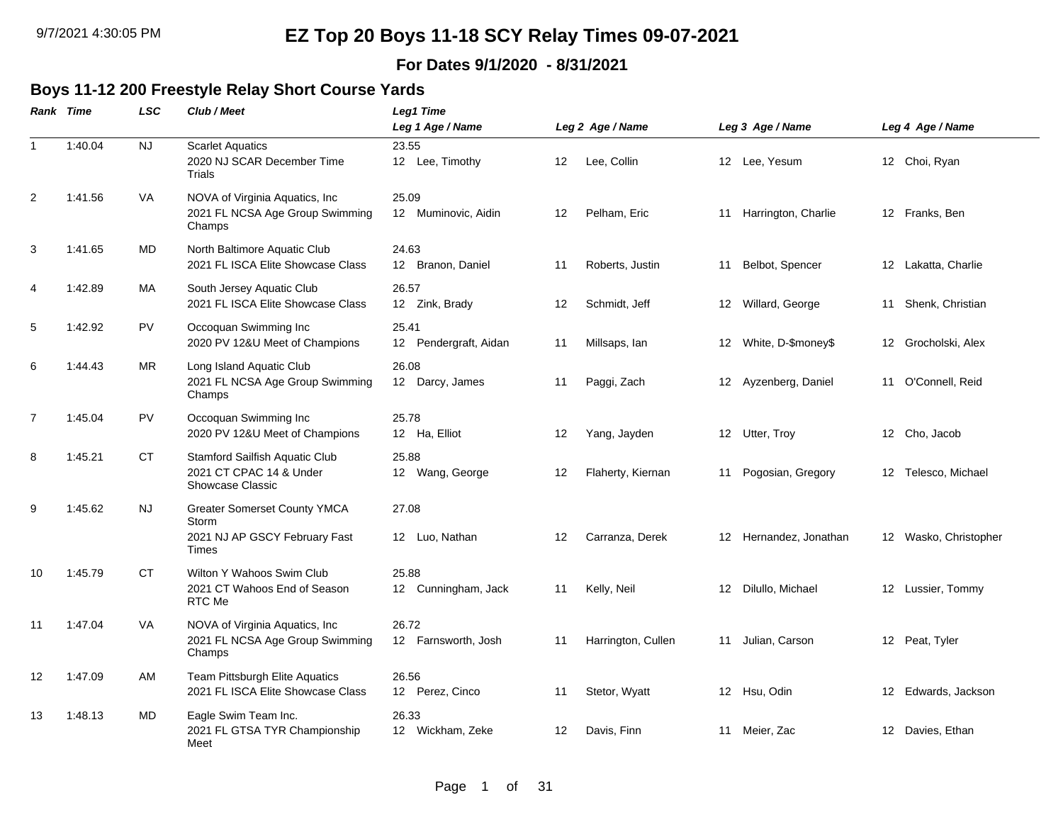### **For Dates 9/1/2020 - 8/31/2021**

### **Boys 11-12 200 Freestyle Relay Short Course Yards**

|                | Rank Time | <b>LSC</b> | Club / Meet                                                                                   | Leg1 Time<br>Leg 1 Age / Name  |    | Leg 2 Age / Name   |    | Leg 3 Age / Name       |    | Leg 4 Age / Name      |
|----------------|-----------|------------|-----------------------------------------------------------------------------------------------|--------------------------------|----|--------------------|----|------------------------|----|-----------------------|
| $\mathbf 1$    | 1:40.04   | NJ         | <b>Scarlet Aquatics</b><br>2020 NJ SCAR December Time<br>Trials                               | 23.55<br>12 Lee, Timothy       | 12 | Lee, Collin        |    | 12 Lee, Yesum          |    | 12 Choi, Ryan         |
| 2              | 1:41.56   | VA         | NOVA of Virginia Aquatics, Inc.<br>2021 FL NCSA Age Group Swimming<br>Champs                  | 25.09<br>12 Muminovic, Aidin   | 12 | Pelham, Eric       |    | 11 Harrington, Charlie |    | 12 Franks, Ben        |
| $\mathbf{3}$   | 1:41.65   | <b>MD</b>  | North Baltimore Aquatic Club<br>2021 FL ISCA Elite Showcase Class                             | 24.63<br>12 Branon, Daniel     | 11 | Roberts, Justin    | 11 | Belbot, Spencer        |    | 12 Lakatta, Charlie   |
| $\overline{a}$ | 1:42.89   | МA         | South Jersey Aquatic Club<br>2021 FL ISCA Elite Showcase Class                                | 26.57<br>12 Zink, Brady        | 12 | Schmidt, Jeff      |    | 12 Willard, George     |    | 11 Shenk, Christian   |
| 5              | 1:42.92   | <b>PV</b>  | Occoquan Swimming Inc<br>2020 PV 12&U Meet of Champions                                       | 25.41<br>12 Pendergraft, Aidan | 11 | Millsaps, Ian      |    | 12 White, D-\$money\$  |    | 12 Grocholski, Alex   |
| 6              | 1:44.43   | ΜR         | Long Island Aquatic Club<br>2021 FL NCSA Age Group Swimming<br>Champs                         | 26.08<br>12 Darcy, James       | 11 | Paggi, Zach        |    | 12 Ayzenberg, Daniel   | 11 | O'Connell, Reid       |
| $\overline{7}$ | 1:45.04   | PV.        | Occoquan Swimming Inc<br>2020 PV 12&U Meet of Champions                                       | 25.78<br>12 Ha, Elliot         | 12 | Yang, Jayden       |    | 12 Utter, Troy         |    | 12 Cho, Jacob         |
| 8              | 1:45.21   | <b>CT</b>  | Stamford Sailfish Aquatic Club<br>2021 CT CPAC 14 & Under<br>Showcase Classic                 | 25.88<br>12 Wang, George       | 12 | Flaherty, Kiernan  | 11 | Pogosian, Gregory      |    | 12 Telesco, Michael   |
| 9              | 1:45.62   | NJ         | <b>Greater Somerset County YMCA</b><br>Storm<br>2021 NJ AP GSCY February Fast<br><b>Times</b> | 27.08<br>12 Luo, Nathan        | 12 | Carranza, Derek    |    | 12 Hernandez, Jonathan |    | 12 Wasko, Christopher |
| 10             | 1:45.79   | <b>CT</b>  | Wilton Y Wahoos Swim Club<br>2021 CT Wahoos End of Season<br>RTC Me                           | 25.88<br>12 Cunningham, Jack   | 11 | Kelly, Neil        |    | 12 Dilullo, Michael    |    | 12 Lussier, Tommy     |
| 11             | 1:47.04   | VA         | NOVA of Virginia Aquatics, Inc.<br>2021 FL NCSA Age Group Swimming<br>Champs                  | 26.72<br>12 Farnsworth, Josh   | 11 | Harrington, Cullen | 11 | Julian, Carson         |    | 12 Peat, Tyler        |
| 12             | 1:47.09   | AM         | Team Pittsburgh Elite Aquatics<br>2021 FL ISCA Elite Showcase Class                           | 26.56<br>12 Perez, Cinco       | 11 | Stetor, Wyatt      |    | 12 Hsu, Odin           |    | 12 Edwards, Jackson   |
| 13             | 1:48.13   | MD         | Eagle Swim Team Inc.<br>2021 FL GTSA TYR Championship<br>Meet                                 | 26.33<br>12 Wickham, Zeke      | 12 | Davis, Finn        |    | 11 Meier, Zac          |    | 12 Davies, Ethan      |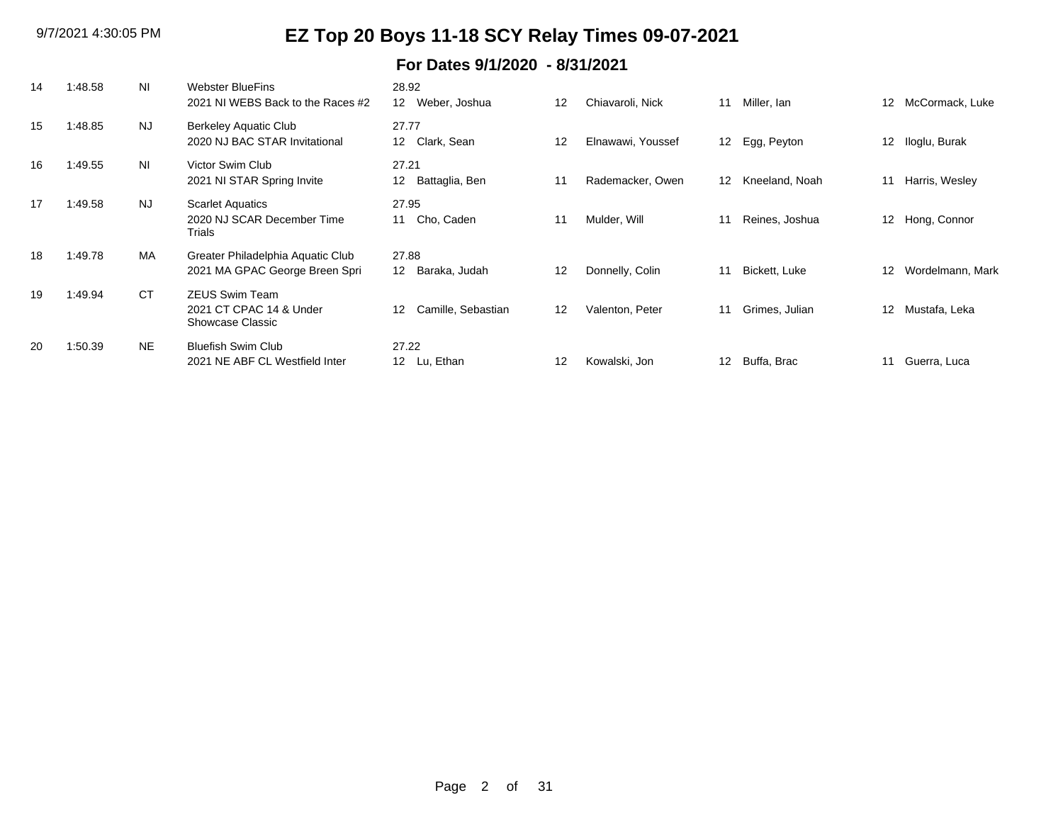| 14  | 1:48.58 | ΝI             | <b>Webster BlueFins</b>                     | 28.92                             |    |                   |    |                |                   |                  |
|-----|---------|----------------|---------------------------------------------|-----------------------------------|----|-------------------|----|----------------|-------------------|------------------|
|     |         |                | 2021 NJ WEBS Back to the Races #2           | 12 <sup>°</sup><br>Weber, Joshua  | 12 | Chiavaroli, Nick  | 11 | Miller, Ian    | $12 \overline{ }$ | McCormack, Luke  |
| 15  | 1:48.85 | <b>NJ</b>      | Berkeley Aquatic Club                       | 27.77                             |    |                   |    |                |                   |                  |
|     |         |                | 2020 NJ BAC STAR Invitational               | Clark, Sean<br>12 <sup>°</sup>    | 12 | Elnawawi, Youssef | 12 | Egg, Peyton    | 12 <sup>°</sup>   | Iloglu, Burak    |
| 16  | 1:49.55 | N <sub>l</sub> | Victor Swim Club                            | 27.21                             |    |                   |    |                |                   |                  |
|     |         |                | 2021 NI STAR Spring Invite                  | 12 <sup>°</sup><br>Battaglia, Ben | 11 | Rademacker, Owen  | 12 | Kneeland, Noah | 11                | Harris, Wesley   |
| 17  | 1:49.58 | <b>NJ</b>      | <b>Scarlet Aquatics</b>                     | 27.95                             |    |                   |    |                |                   |                  |
|     |         |                | 2020 NJ SCAR December Time<br>Trials        | Cho, Caden<br>11                  | 11 | Mulder, Will      | 11 | Reines, Joshua |                   | 12 Hong, Connor  |
| 18  | 1:49.78 | <b>MA</b>      | Greater Philadelphia Aquatic Club           | 27.88                             |    |                   |    |                |                   |                  |
|     |         |                | 2021 MA GPAC George Breen Spri              | Baraka, Judah<br>12 <sup>12</sup> | 12 | Donnelly, Colin   | 11 | Bickett, Luke  | 12 <sup>°</sup>   | Wordelmann, Mark |
| 19  | 1:49.94 | <b>CT</b>      | <b>ZEUS Swim Team</b>                       |                                   |    |                   |    |                |                   |                  |
|     |         |                | 2021 CT CPAC 14 & Under<br>Showcase Classic | Camille, Sebastian<br>12          | 12 | Valenton, Peter   | 11 | Grimes, Julian | 12 <sup>°</sup>   | Mustafa, Leka    |
| -20 | 1:50.39 | <b>NE</b>      | <b>Bluefish Swim Club</b>                   | 27.22                             |    |                   |    |                |                   |                  |
|     |         |                | 2021 NE ABF CL Westfield Inter              | Lu, Ethan<br>12 <sup>12</sup>     | 12 | Kowalski, Jon     | 12 | Buffa, Brac    | 11                | Guerra, Luca     |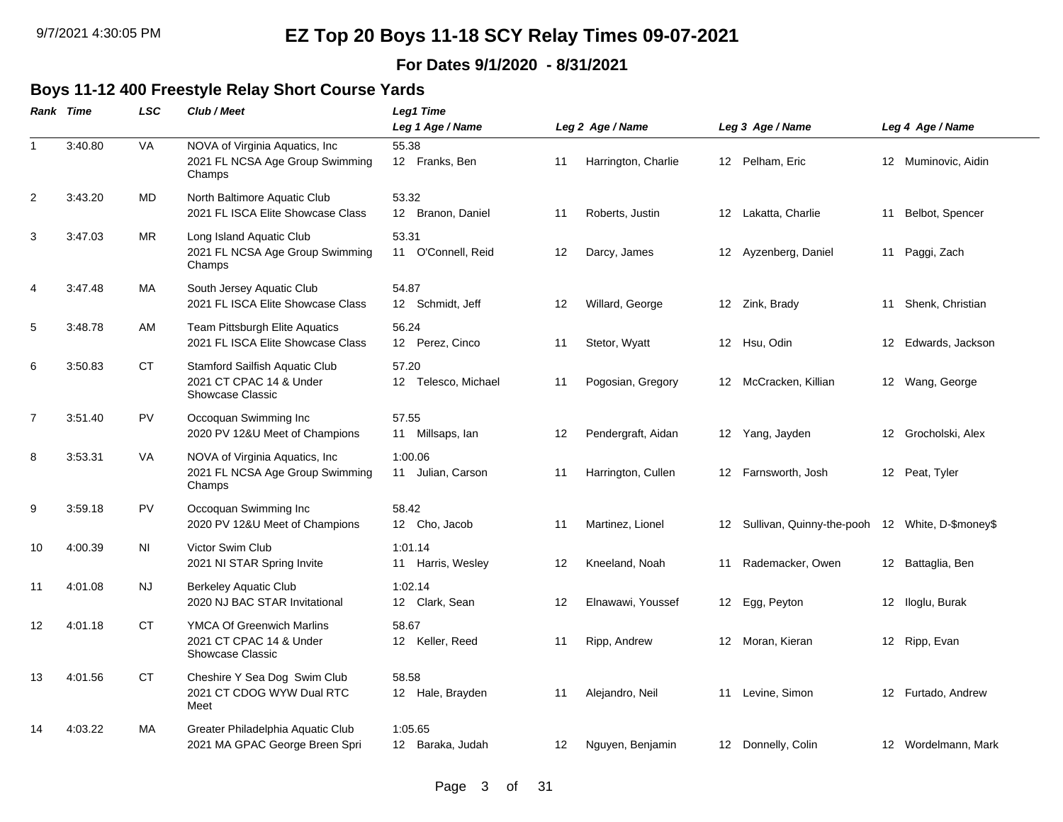### **For Dates 9/1/2020 - 8/31/2021**

### **Boys 11-12 400 Freestyle Relay Short Course Yards**

|                | Rank Time | <b>LSC</b> | Club / Meet                                                                            | Leg1 Time<br>Leg 1 Age / Name |    | Leg 2 Age / Name    |                 | Leg 3 Age / Name                                |    | Leg 4 Age / Name    |
|----------------|-----------|------------|----------------------------------------------------------------------------------------|-------------------------------|----|---------------------|-----------------|-------------------------------------------------|----|---------------------|
|                |           | VA         |                                                                                        | 55.38                         |    |                     |                 |                                                 |    |                     |
| $\mathbf{1}$   | 3:40.80   |            | NOVA of Virginia Aquatics, Inc.<br>2021 FL NCSA Age Group Swimming<br>Champs           | 12 Franks, Ben                | 11 | Harrington, Charlie |                 | 12 Pelham, Eric                                 |    | 12 Muminovic, Aidin |
| 2              | 3:43.20   | MD         | North Baltimore Aquatic Club<br>2021 FL ISCA Elite Showcase Class                      | 53.32<br>12 Branon, Daniel    | 11 | Roberts, Justin     |                 | 12 Lakatta, Charlie                             | 11 | Belbot, Spencer     |
| 3              | 3:47.03   | <b>MR</b>  | Long Island Aquatic Club<br>2021 FL NCSA Age Group Swimming<br>Champs                  | 53.31<br>11 O'Connell, Reid   | 12 | Darcy, James        |                 | 12 Ayzenberg, Daniel                            | 11 | Paggi, Zach         |
| 4              | 3:47.48   | MA         | South Jersey Aquatic Club<br>2021 FL ISCA Elite Showcase Class                         | 54.87<br>12 Schmidt, Jeff     | 12 | Willard, George     |                 | 12 Zink, Brady                                  | 11 | Shenk, Christian    |
| 5              | 3:48.78   | AM         | <b>Team Pittsburgh Elite Aquatics</b><br>2021 FL ISCA Elite Showcase Class             | 56.24<br>12 Perez, Cinco      | 11 | Stetor, Wyatt       |                 | 12 Hsu, Odin                                    |    | 12 Edwards, Jackson |
| 6              | 3:50.83   | <b>CT</b>  | Stamford Sailfish Aquatic Club<br>2021 CT CPAC 14 & Under<br><b>Showcase Classic</b>   | 57.20<br>12 Telesco, Michael  | 11 | Pogosian, Gregory   |                 | 12 McCracken, Killian                           |    | 12 Wang, George     |
| $\overline{7}$ | 3:51.40   | <b>PV</b>  | Occoquan Swimming Inc<br>2020 PV 12&U Meet of Champions                                | 57.55<br>11 Millsaps, lan     | 12 | Pendergraft, Aidan  |                 | 12 Yang, Jayden                                 |    | 12 Grocholski, Alex |
| 8              | 3:53.31   | <b>VA</b>  | NOVA of Virginia Aquatics, Inc.<br>2021 FL NCSA Age Group Swimming<br>Champs           | 1:00.06<br>11 Julian, Carson  | 11 | Harrington, Cullen  | 12              | Farnsworth, Josh                                |    | 12 Peat, Tyler      |
| 9              | 3:59.18   | <b>PV</b>  | Occoquan Swimming Inc<br>2020 PV 12&U Meet of Champions                                | 58.42<br>12 Cho, Jacob        | 11 | Martinez, Lionel    | 12              | Sullivan, Quinny-the-pooh 12 White, D-\$money\$ |    |                     |
| 10             | 4:00.39   | ΝI         | Victor Swim Club<br>2021 NI STAR Spring Invite                                         | 1:01.14<br>11 Harris, Wesley  | 12 | Kneeland, Noah      | 11              | Rademacker, Owen                                |    | 12 Battaglia, Ben   |
| 11             | 4:01.08   | NJ.        | <b>Berkeley Aquatic Club</b><br>2020 NJ BAC STAR Invitational                          | 1:02.14<br>12 Clark, Sean     | 12 | Elnawawi, Youssef   | 12 <sup>2</sup> | Egg, Peyton                                     |    | 12 Iloglu, Burak    |
| 12             | 4:01.18   | <b>CT</b>  | <b>YMCA Of Greenwich Marlins</b><br>2021 CT CPAC 14 & Under<br><b>Showcase Classic</b> | 58.67<br>12 Keller, Reed      | 11 | Ripp, Andrew        |                 | 12 Moran, Kieran                                |    | 12 Ripp, Evan       |
| 13             | 4:01.56   | СT         | Cheshire Y Sea Dog Swim Club<br>2021 CT CDOG WYW Dual RTC<br>Meet                      | 58.58<br>12 Hale, Brayden     | 11 | Alejandro, Neil     |                 | 11 Levine, Simon                                |    | 12 Furtado, Andrew  |
| 14             | 4:03.22   | MA         | Greater Philadelphia Aquatic Club<br>2021 MA GPAC George Breen Spri                    | 1:05.65<br>12 Baraka, Judah   | 12 | Nguyen, Benjamin    |                 | 12 Donnelly, Colin                              |    | 12 Wordelmann, Mark |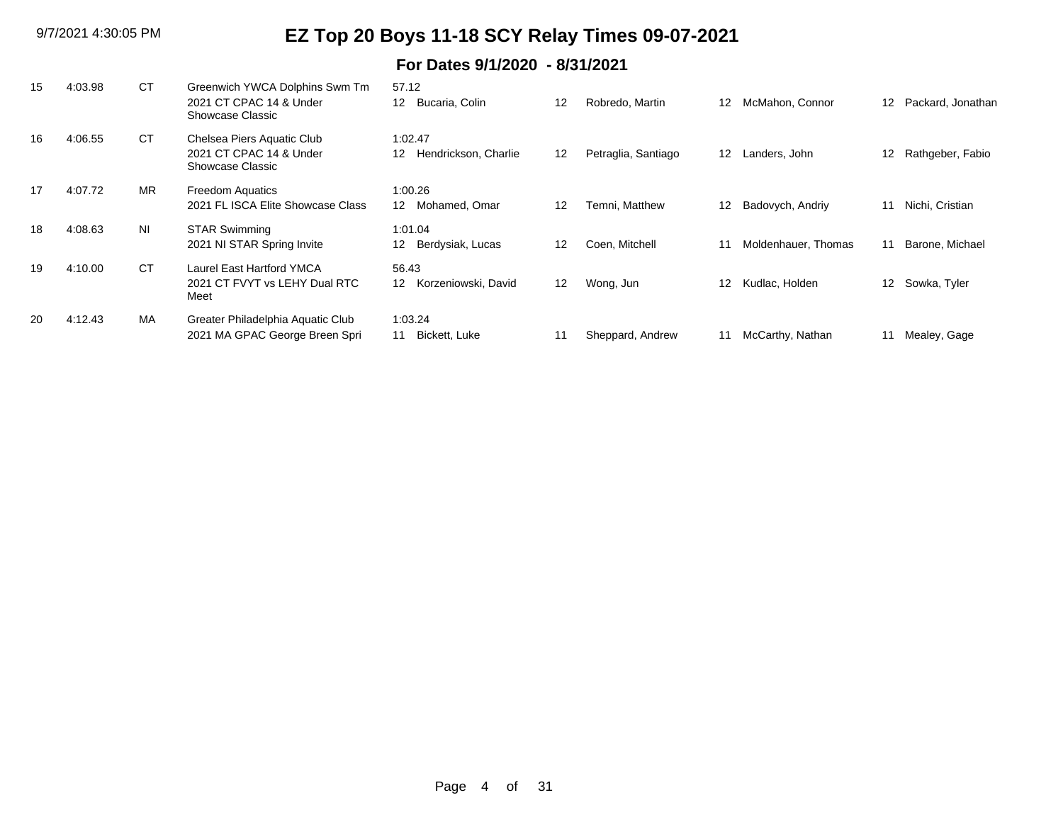| 15 | 4:03.98 | <b>CT</b> | Greenwich YWCA Dolphins Swm Tm<br>2021 CT CPAC 14 & Under<br>Showcase Classic | 57.12<br>Bucaria, Colin<br>12                | 12 | Robredo, Martin     | 12                | McMahon, Connor     | $12 \overline{ }$ | Packard, Jonathan |
|----|---------|-----------|-------------------------------------------------------------------------------|----------------------------------------------|----|---------------------|-------------------|---------------------|-------------------|-------------------|
| 16 | 4:06.55 | CT        | Chelsea Piers Aquatic Club<br>2021 CT CPAC 14 & Under<br>Showcase Classic     | 1:02.47<br>Hendrickson, Charlie<br>12        | 12 | Petraglia, Santiago | $12 \overline{ }$ | Landers, John       | 12                | Rathgeber, Fabio  |
| 17 | 4:07.72 | <b>MR</b> | <b>Freedom Aquatics</b><br>2021 FL ISCA Elite Showcase Class                  | 1:00.26<br>Mohamed, Omar<br>12 <sup>12</sup> | 12 | Temni, Matthew      | 12                | Badovych, Andriy    | 11                | Nichi, Cristian   |
| 18 | 4:08.63 | <b>NI</b> | <b>STAR Swimming</b><br>2021 NI STAR Spring Invite                            | 1:01.04<br>Berdysiak, Lucas<br>12            | 12 | Coen, Mitchell      | 11                | Moldenhauer, Thomas | 11                | Barone, Michael   |
| 19 | 4:10.00 | <b>CT</b> | Laurel East Hartford YMCA<br>2021 CT FVYT vs LEHY Dual RTC<br>Meet            | 56.43<br>Korzeniowski, David<br>12           | 12 | Wong, Jun           | 12                | Kudlac, Holden      |                   | 12 Sowka, Tyler   |
| 20 | 4:12.43 | MA        | Greater Philadelphia Aquatic Club<br>2021 MA GPAC George Breen Spri           | 1:03.24<br>11 Bickett, Luke                  | 11 | Sheppard, Andrew    |                   | McCarthy, Nathan    |                   | Mealey, Gage      |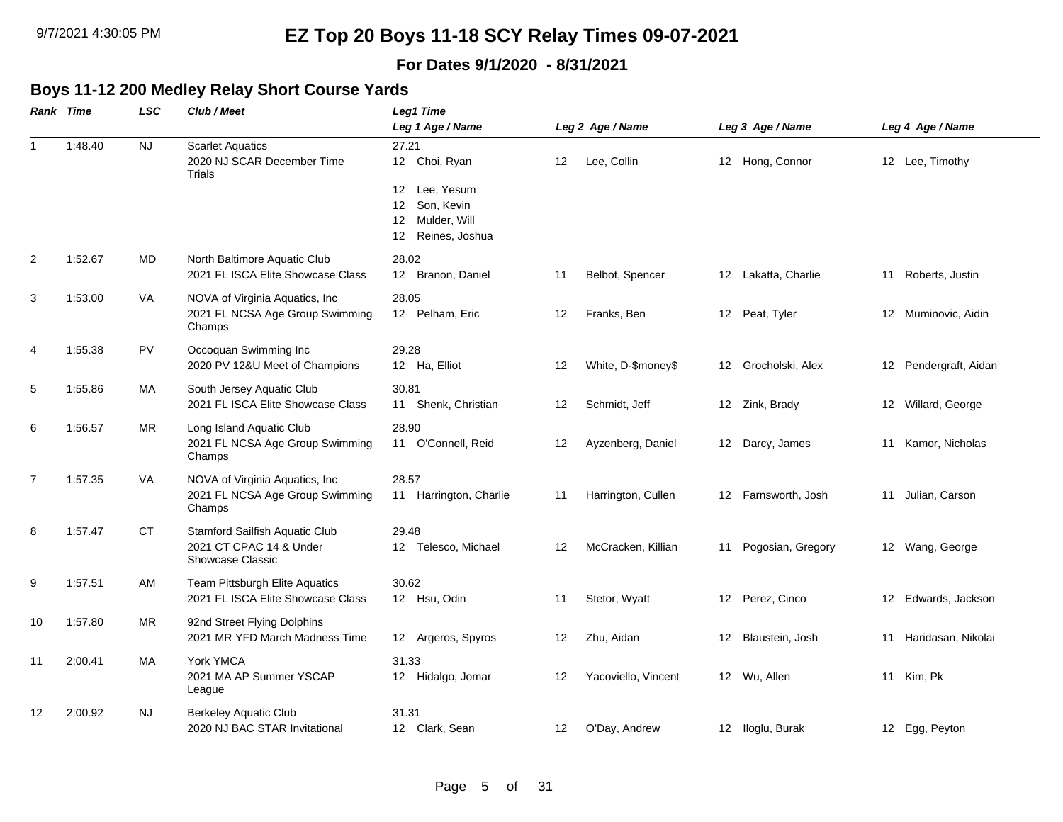### **For Dates 9/1/2020 - 8/31/2021**

## **Boys 11-12 200 Medley Relay Short Course Yards**

|                | <b>Rank Time</b> | <b>LSC</b> | Club / Meet                                                                   | Leg1 Time                                                                    |    |                     |    |                     |    |                       |
|----------------|------------------|------------|-------------------------------------------------------------------------------|------------------------------------------------------------------------------|----|---------------------|----|---------------------|----|-----------------------|
|                |                  |            |                                                                               | Leg 1 Age / Name                                                             |    | Leg 2 Age / Name    |    | Leg 3 Age / Name    |    | Leg 4 Age / Name      |
| $\mathbf{1}$   | 1:48.40          | <b>NJ</b>  | <b>Scarlet Aquatics</b><br>2020 NJ SCAR December Time<br><b>Trials</b>        | 27.21<br>12 Choi, Ryan                                                       | 12 | Lee, Collin         |    | 12 Hong, Connor     |    | 12 Lee, Timothy       |
|                |                  |            |                                                                               | Lee, Yesum<br>12<br>Son, Kevin<br>12<br>12 Mulder, Will<br>12 Reines, Joshua |    |                     |    |                     |    |                       |
| 2              | 1:52.67          | MD         | North Baltimore Aquatic Club<br>2021 FL ISCA Elite Showcase Class             | 28.02<br>12 Branon, Daniel                                                   | 11 | Belbot, Spencer     |    | 12 Lakatta, Charlie |    | 11 Roberts, Justin    |
| 3              | 1:53.00          | VA         | NOVA of Virginia Aquatics, Inc<br>2021 FL NCSA Age Group Swimming<br>Champs   | 28.05<br>12 Pelham, Eric                                                     | 12 | Franks, Ben         |    | 12 Peat, Tyler      |    | 12 Muminovic, Aidin   |
| 4              | 1:55.38          | <b>PV</b>  | Occoquan Swimming Inc<br>2020 PV 12&U Meet of Champions                       | 29.28<br>12 Ha, Elliot                                                       | 12 | White, D-\$money\$  |    | 12 Grocholski, Alex |    | 12 Pendergraft, Aidan |
| 5              | 1:55.86          | МA         | South Jersey Aquatic Club<br>2021 FL ISCA Elite Showcase Class                | 30.81<br>11 Shenk, Christian                                                 | 12 | Schmidt, Jeff       |    | 12 Zink, Brady      |    | 12 Willard, George    |
| 6              | 1:56.57          | <b>MR</b>  | Long Island Aquatic Club<br>2021 FL NCSA Age Group Swimming<br>Champs         | 28.90<br>11 O'Connell, Reid                                                  | 12 | Ayzenberg, Daniel   |    | 12 Darcy, James     |    | 11 Kamor, Nicholas    |
| $\overline{7}$ | 1:57.35          | VA         | NOVA of Virginia Aquatics, Inc<br>2021 FL NCSA Age Group Swimming<br>Champs   | 28.57<br>11 Harrington, Charlie                                              | 11 | Harrington, Cullen  |    | 12 Farnsworth, Josh | 11 | Julian, Carson        |
| 8              | 1:57.47          | СT         | Stamford Sailfish Aquatic Club<br>2021 CT CPAC 14 & Under<br>Showcase Classic | 29.48<br>12 Telesco, Michael                                                 | 12 | McCracken, Killian  | 11 | Pogosian, Gregory   |    | 12 Wang, George       |
| 9              | 1:57.51          | AM         | Team Pittsburgh Elite Aquatics<br>2021 FL ISCA Elite Showcase Class           | 30.62<br>12 Hsu, Odin                                                        | 11 | Stetor, Wyatt       |    | 12 Perez, Cinco     |    | 12 Edwards, Jackson   |
| 10             | 1:57.80          | <b>MR</b>  | 92nd Street Flying Dolphins<br>2021 MR YFD March Madness Time                 | 12 Argeros, Spyros                                                           | 12 | Zhu, Aidan          |    | 12 Blaustein, Josh  |    | 11 Haridasan, Nikolai |
| 11             | 2:00.41          | МA         | York YMCA<br>2021 MA AP Summer YSCAP<br>League                                | 31.33<br>12 Hidalgo, Jomar                                                   | 12 | Yacoviello, Vincent |    | 12 Wu, Allen        |    | 11 Kim, Pk            |
| 12             | 2:00.92          | NJ.        | <b>Berkeley Aquatic Club</b><br>2020 NJ BAC STAR Invitational                 | 31.31<br>12 Clark, Sean                                                      | 12 | O'Day, Andrew       |    | 12 Iloglu, Burak    |    | 12 Egg, Peyton        |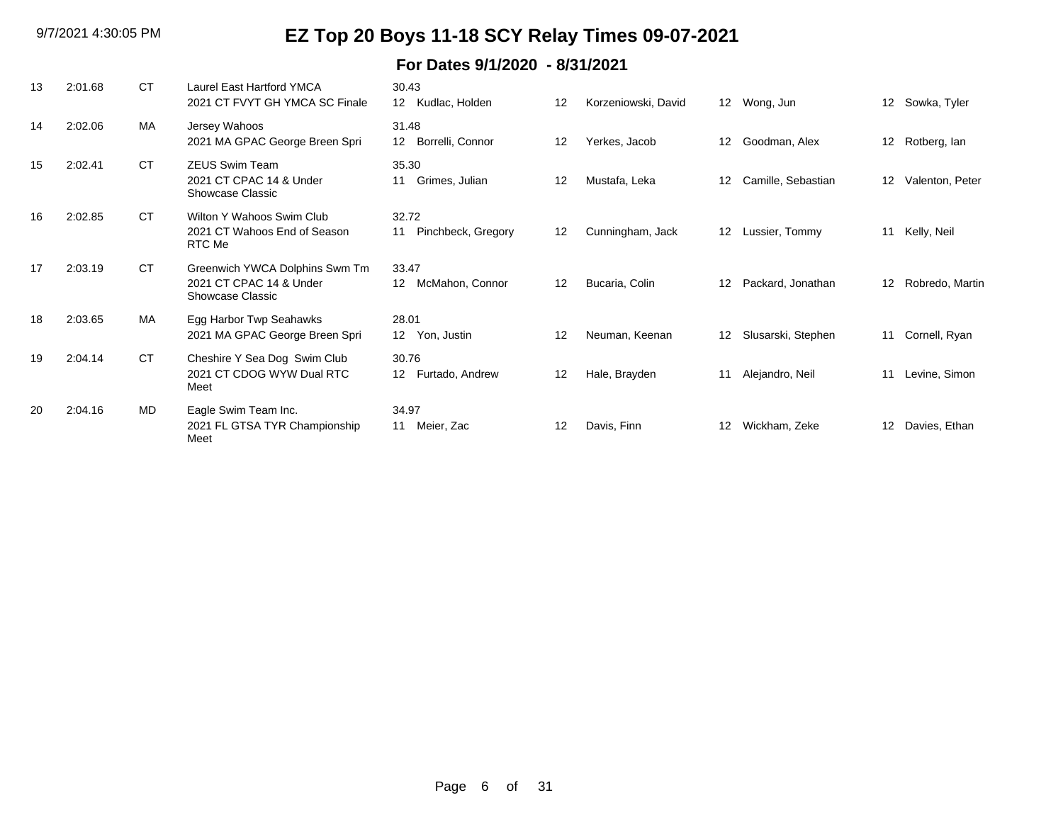| 13 | 2:01.68 | CT.       | <b>Laurel East Hartford YMCA</b><br>2021 CT FVYT GH YMCA SC Finale            | 30.43<br>Kudlac, Holden<br>12                 | 12      | Korzeniowski, David |    | 12 Wong, Jun       | 12                | Sowka, Tyler    |
|----|---------|-----------|-------------------------------------------------------------------------------|-----------------------------------------------|---------|---------------------|----|--------------------|-------------------|-----------------|
| 14 | 2:02.06 | MA        | Jersey Wahoos<br>2021 MA GPAC George Breen Spri                               | 31.48<br>Borrelli, Connor<br>12 <sup>12</sup> | 12      | Yerkes, Jacob       | 12 | Goodman, Alex      | 12                | Rotberg, lan    |
| 15 | 2:02.41 | <b>CT</b> | <b>ZEUS Swim Team</b><br>2021 CT CPAC 14 & Under<br>Showcase Classic          | 35.30<br>Grimes, Julian<br>11                 | 12      | Mustafa, Leka       | 12 | Camille, Sebastian | $12 \overline{ }$ | Valenton, Peter |
| 16 | 2:02.85 | <b>CT</b> | Wilton Y Wahoos Swim Club<br>2021 CT Wahoos End of Season<br>RTC Me           | 32.72<br>Pinchbeck, Gregory<br>11             | 12      | Cunningham, Jack    | 12 | Lussier, Tommy     | 11                | Kelly, Neil     |
| 17 | 2:03.19 | <b>CT</b> | Greenwich YWCA Dolphins Swm Tm<br>2021 CT CPAC 14 & Under<br>Showcase Classic | 33.47<br>12 <sup>°</sup><br>McMahon, Connor   | $12 \,$ | Bucaria, Colin      | 12 | Packard, Jonathan  | $12 \overline{ }$ | Robredo, Martin |
| 18 | 2:03.65 | MA        | Egg Harbor Twp Seahawks<br>2021 MA GPAC George Breen Spri                     | 28.01<br>Yon, Justin<br>12 <sup>12</sup>      | 12      | Neuman, Keenan      | 12 | Slusarski, Stephen | 11                | Cornell, Ryan   |
| 19 | 2:04.14 | <b>CT</b> | Cheshire Y Sea Dog Swim Club<br>2021 CT CDOG WYW Dual RTC<br>Meet             | 30.76<br>Furtado, Andrew<br>12                | $12 \,$ | Hale, Brayden       | 11 | Alejandro, Neil    | 11                | Levine, Simon   |
| 20 | 2:04.16 | MD        | Eagle Swim Team Inc.<br>2021 FL GTSA TYR Championship<br>Meet                 | 34.97<br>Meier, Zac<br>11                     | 12      | Davis, Finn         | 12 | Wickham, Zeke      | 12                | Davies, Ethan   |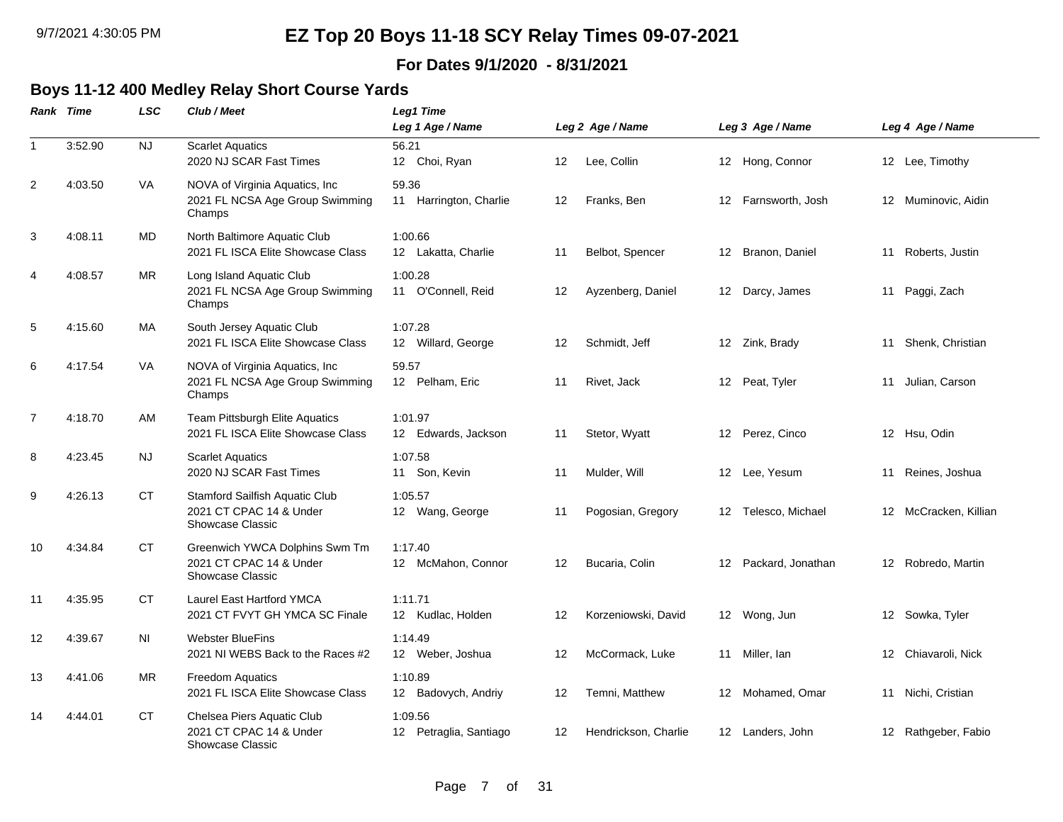### **For Dates 9/1/2020 - 8/31/2021**

## **Boys 11-12 400 Medley Relay Short Course Yards**

|                | Rank Time | <b>LSC</b> | Club / Meet                                                                          | Leg1 Time<br>Leg 1 Age / Name     |    | Leg 2 Age / Name     |    | Leg 3 Age / Name     |    | Leg 4 Age / Name      |
|----------------|-----------|------------|--------------------------------------------------------------------------------------|-----------------------------------|----|----------------------|----|----------------------|----|-----------------------|
| $\mathbf{1}$   | 3:52.90   | NJ         | <b>Scarlet Aquatics</b><br>2020 NJ SCAR Fast Times                                   | 56.21<br>12 Choi, Ryan            | 12 | Lee, Collin          |    | 12 Hong, Connor      |    | 12 Lee, Timothy       |
| 2              | 4:03.50   | VA         | NOVA of Virginia Aquatics, Inc.<br>2021 FL NCSA Age Group Swimming<br>Champs         | 59.36<br>11 Harrington, Charlie   | 12 | Franks, Ben          | 12 | Farnsworth, Josh     |    | 12 Muminovic, Aidin   |
| 3              | 4:08.11   | MD         | North Baltimore Aquatic Club<br>2021 FL ISCA Elite Showcase Class                    | 1:00.66<br>12 Lakatta, Charlie    | 11 | Belbot, Spencer      |    | 12 Branon, Daniel    | 11 | Roberts, Justin       |
| 4              | 4:08.57   | MR.        | Long Island Aquatic Club<br>2021 FL NCSA Age Group Swimming<br>Champs                | 1:00.28<br>11 O'Connell, Reid     | 12 | Ayzenberg, Daniel    |    | 12 Darcy, James      |    | 11 Paggi, Zach        |
| 5              | 4:15.60   | МA         | South Jersey Aquatic Club<br>2021 FL ISCA Elite Showcase Class                       | 1:07.28<br>12 Willard, George     | 12 | Schmidt, Jeff        |    | 12 Zink, Brady       |    | 11 Shenk, Christian   |
| 6              | 4:17.54   | <b>VA</b>  | NOVA of Virginia Aquatics, Inc<br>2021 FL NCSA Age Group Swimming<br>Champs          | 59.57<br>12 Pelham, Eric          | 11 | Rivet, Jack          |    | 12 Peat, Tyler       | 11 | Julian, Carson        |
| $\overline{7}$ | 4:18.70   | AM         | Team Pittsburgh Elite Aquatics<br>2021 FL ISCA Elite Showcase Class                  | 1:01.97<br>12 Edwards, Jackson    | 11 | Stetor, Wyatt        |    | 12 Perez, Cinco      |    | 12 Hsu, Odin          |
| 8              | 4:23.45   | NJ.        | <b>Scarlet Aquatics</b><br>2020 NJ SCAR Fast Times                                   | 1:07.58<br>11 Son, Kevin          | 11 | Mulder, Will         |    | 12 Lee, Yesum        |    | 11 Reines, Joshua     |
| 9              | 4:26.13   | <b>CT</b>  | Stamford Sailfish Aquatic Club<br>2021 CT CPAC 14 & Under<br><b>Showcase Classic</b> | 1:05.57<br>12 Wang, George        | 11 | Pogosian, Gregory    |    | 12 Telesco, Michael  |    | 12 McCracken, Killian |
| 10             | 4:34.84   | СT         | Greenwich YWCA Dolphins Swm Tm<br>2021 CT CPAC 14 & Under<br>Showcase Classic        | 1:17.40<br>12 McMahon, Connor     | 12 | Bucaria, Colin       |    | 12 Packard, Jonathan |    | 12 Robredo, Martin    |
| 11             | 4:35.95   | <b>CT</b>  | <b>Laurel East Hartford YMCA</b><br>2021 CT FVYT GH YMCA SC Finale                   | 1:11.71<br>12 Kudlac, Holden      | 12 | Korzeniowski, David  |    | 12 Wong, Jun         |    | 12 Sowka, Tyler       |
| 12             | 4:39.67   | <b>NI</b>  | <b>Webster BlueFins</b><br>2021 NI WEBS Back to the Races #2                         | 1:14.49<br>12 Weber, Joshua       | 12 | McCormack, Luke      |    | 11 Miller, Ian       |    | 12 Chiavaroli, Nick   |
| 13             | 4:41.06   | MR.        | Freedom Aquatics<br>2021 FL ISCA Elite Showcase Class                                | 1:10.89<br>12 Badovych, Andriy    | 12 | Temni, Matthew       |    | 12 Mohamed, Omar     |    | 11 Nichi, Cristian    |
| 14             | 4:44.01   | СT         | Chelsea Piers Aquatic Club<br>2021 CT CPAC 14 & Under<br>Showcase Classic            | 1:09.56<br>12 Petraglia, Santiago | 12 | Hendrickson, Charlie |    | 12 Landers, John     |    | 12 Rathgeber, Fabio   |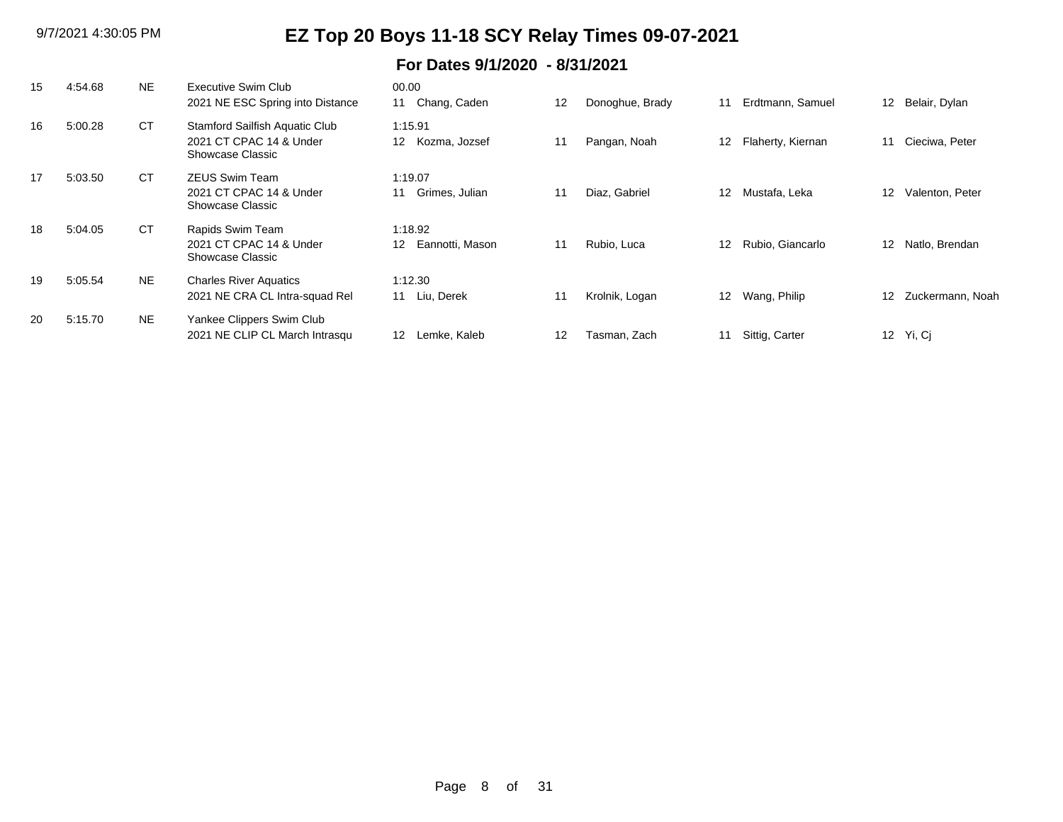| 15 | 4:54.68 | <b>NE</b> | Executive Swim Club<br>2021 NE ESC Spring into Distance                       | 00.00<br>Chang, Caden<br>11      | 12 | Donoghue, Brady | 11              | Erdtmann, Samuel  | 12 <sup>°</sup>   | Belair, Dylan    |
|----|---------|-----------|-------------------------------------------------------------------------------|----------------------------------|----|-----------------|-----------------|-------------------|-------------------|------------------|
| 16 | 5:00.28 | <b>CT</b> | Stamford Sailfish Aquatic Club<br>2021 CT CPAC 14 & Under<br>Showcase Classic | 1:15.91<br>12<br>Kozma, Jozsef   | 11 | Pangan, Noah    | 12              | Flaherty, Kiernan | 11                | Cieciwa, Peter   |
| 17 | 5:03.50 | <b>CT</b> | <b>ZEUS Swim Team</b><br>2021 CT CPAC 14 & Under<br>Showcase Classic          | 1:19.07<br>Grimes, Julian<br>11  |    | Diaz, Gabriel   | 12              | Mustafa, Leka     | $12 \overline{ }$ | Valenton, Peter  |
| 18 | 5:04.05 | СT        | Rapids Swim Team<br>2021 CT CPAC 14 & Under<br>Showcase Classic               | 1:18.92<br>Eannotti, Mason<br>12 | 11 | Rubio, Luca     | 12 <sup>°</sup> | Rubio, Giancarlo  | 12 <sup>12</sup>  | Natlo, Brendan   |
| 19 | 5:05.54 | <b>NE</b> | <b>Charles River Aquatics</b><br>2021 NE CRA CL Intra-squad Rel               | 1:12.30<br>Liu, Derek<br>11      | 11 | Krolnik, Logan  | 12 <sup>°</sup> | Wang, Philip      | 12 <sup>2</sup>   | Zuckermann, Noah |
| 20 | 5:15.70 | <b>NE</b> | Yankee Clippers Swim Club<br>2021 NE CLIP CL March Intrasqu                   | 12 <sup>12</sup><br>Lemke, Kaleb | 12 | Tasman, Zach    | 11              | Sittig, Carter    |                   | 12 Yi, Ci        |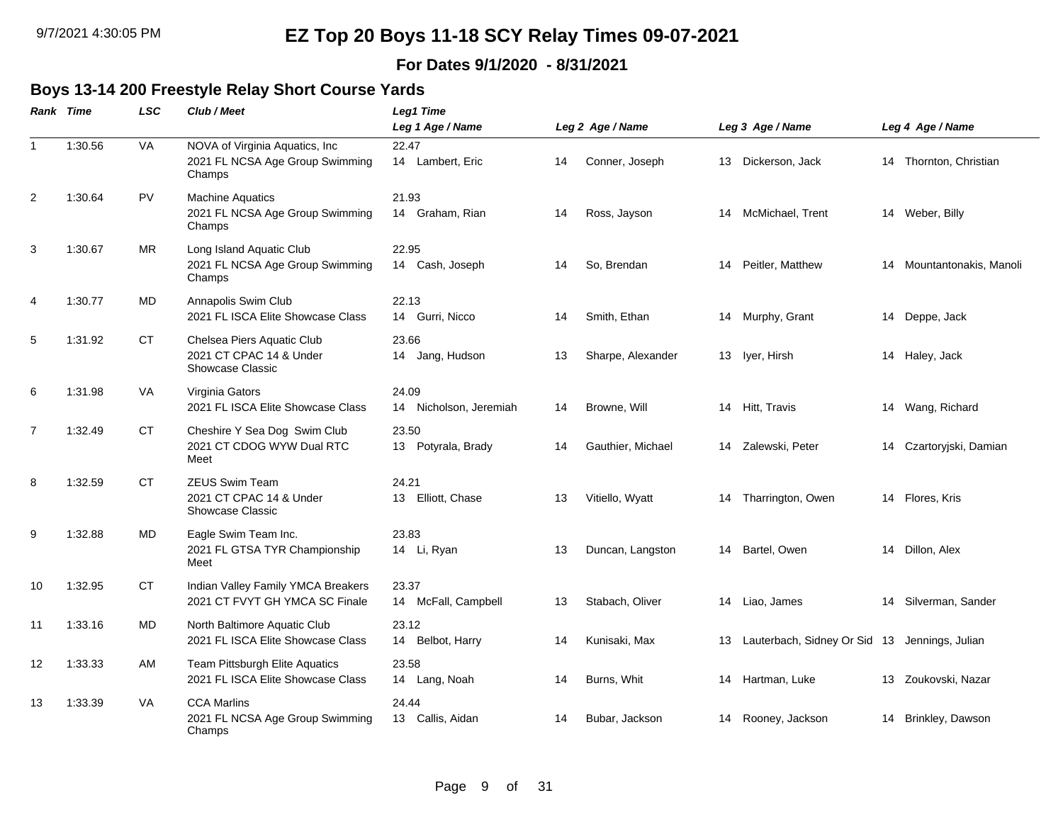### **For Dates 9/1/2020 - 8/31/2021**

### **Boys 13-14 200 Freestyle Relay Short Course Yards**

|                | Rank Time | <b>LSC</b> | Club / Meet                                                                 | Leg1 Time                       |    |                   |    |                                               |    |                        |
|----------------|-----------|------------|-----------------------------------------------------------------------------|---------------------------------|----|-------------------|----|-----------------------------------------------|----|------------------------|
|                |           |            |                                                                             | Leg 1 Age / Name                |    | Leg 2 Age / Name  |    | Leg 3 Age / Name                              |    | Leg 4 Age / Name       |
| $\overline{1}$ | 1:30.56   | VA         | NOVA of Virginia Aquatics, Inc<br>2021 FL NCSA Age Group Swimming<br>Champs | 22.47<br>14 Lambert, Eric       | 14 | Conner, Joseph    | 13 | Dickerson, Jack                               |    | 14 Thornton, Christian |
| $\overline{2}$ | 1:30.64   | <b>PV</b>  | <b>Machine Aquatics</b><br>2021 FL NCSA Age Group Swimming<br>Champs        | 21.93<br>14 Graham, Rian        | 14 | Ross, Jayson      | 14 | McMichael, Trent                              | 14 | Weber, Billy           |
| 3              | 1:30.67   | <b>MR</b>  | Long Island Aquatic Club<br>2021 FL NCSA Age Group Swimming<br>Champs       | 22.95<br>14 Cash, Joseph        | 14 | So, Brendan       | 14 | Peitler, Matthew                              | 14 | Mountantonakis, Manoli |
| $\overline{4}$ | 1:30.77   | MD         | Annapolis Swim Club<br>2021 FL ISCA Elite Showcase Class                    | 22.13<br>14 Gurri, Nicco        | 14 | Smith, Ethan      | 14 | Murphy, Grant                                 |    | 14 Deppe, Jack         |
| 5              | 1:31.92   | <b>CT</b>  | Chelsea Piers Aquatic Club<br>2021 CT CPAC 14 & Under<br>Showcase Classic   | 23.66<br>14 Jang, Hudson        | 13 | Sharpe, Alexander |    | 13 Iver, Hirsh                                |    | 14 Haley, Jack         |
| 6              | 1:31.98   | VA         | Virginia Gators<br>2021 FL ISCA Elite Showcase Class                        | 24.09<br>14 Nicholson, Jeremiah | 14 | Browne, Will      | 14 | Hitt, Travis                                  |    | 14 Wang, Richard       |
| $\overline{7}$ | 1:32.49   | <b>CT</b>  | Cheshire Y Sea Dog Swim Club<br>2021 CT CDOG WYW Dual RTC<br>Meet           | 23.50<br>Potyrala, Brady<br>13  | 14 | Gauthier, Michael | 14 | Zalewski, Peter                               | 14 | Czartoryjski, Damian   |
| 8              | 1:32.59   | <b>CT</b>  | <b>ZEUS Swim Team</b><br>2021 CT CPAC 14 & Under<br>Showcase Classic        | 24.21<br>13 Elliott, Chase      | 13 | Vitiello, Wyatt   | 14 | Tharrington, Owen                             | 14 | Flores, Kris           |
| 9              | 1:32.88   | MD.        | Eagle Swim Team Inc.<br>2021 FL GTSA TYR Championship<br>Meet               | 23.83<br>14 Li, Ryan            | 13 | Duncan, Langston  | 14 | Bartel, Owen                                  | 14 | Dillon, Alex           |
| 10             | 1:32.95   | CT         | Indian Valley Family YMCA Breakers<br>2021 CT FVYT GH YMCA SC Finale        | 23.37<br>14 McFall, Campbell    | 13 | Stabach, Oliver   | 14 | Liao, James                                   | 14 | Silverman, Sander      |
| 11             | 1:33.16   | MD.        | North Baltimore Aquatic Club<br>2021 FL ISCA Elite Showcase Class           | 23.12<br>Belbot, Harry<br>14    | 14 | Kunisaki, Max     | 13 | Lauterbach, Sidney Or Sid 13 Jennings, Julian |    |                        |
| 12             | 1:33.33   | AM         | Team Pittsburgh Elite Aquatics<br>2021 FL ISCA Elite Showcase Class         | 23.58<br>14 Lang, Noah          | 14 | Burns, Whit       | 14 | Hartman, Luke                                 | 13 | Zoukovski, Nazar       |
| 13             | 1:33.39   | VA         | <b>CCA Marlins</b><br>2021 FL NCSA Age Group Swimming<br>Champs             | 24.44<br>13 Callis, Aidan       | 14 | Bubar, Jackson    | 14 | Rooney, Jackson                               | 14 | Brinkley, Dawson       |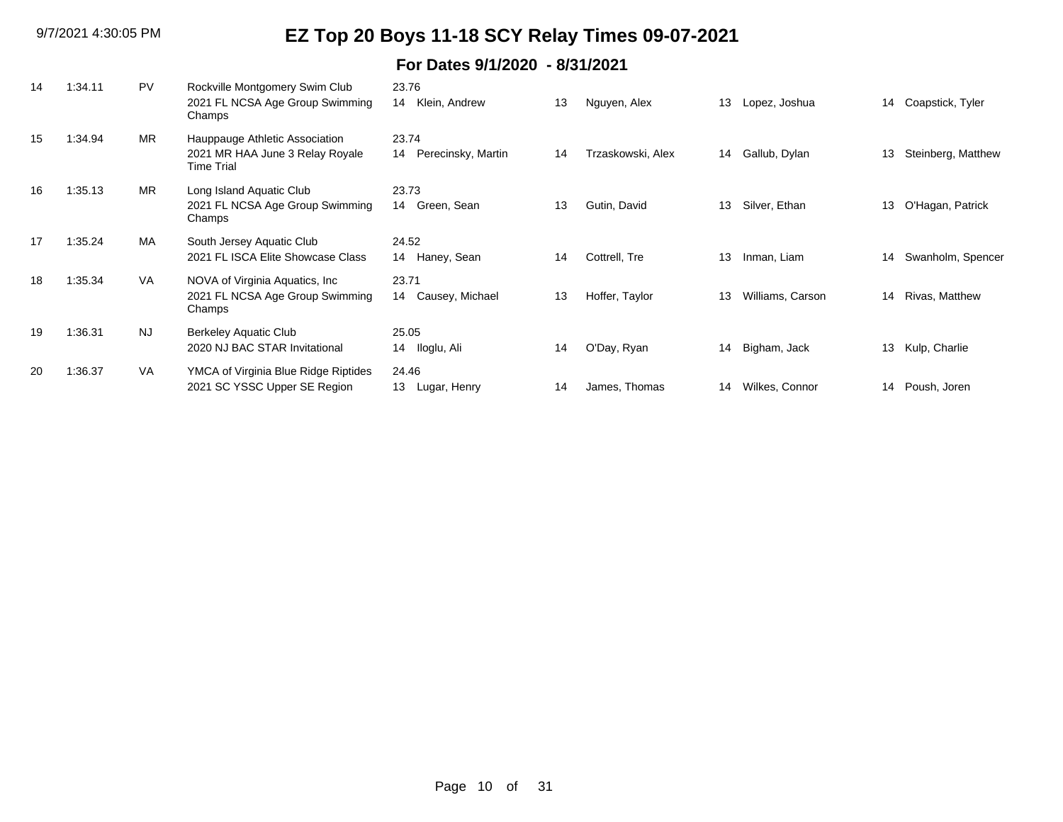| 14 | 1:34.11 | PV        | Rockville Montgomery Swim Club<br>2021 FL NCSA Age Group Swimming<br>Champs     | 23.76<br>Klein, Andrew<br>14      | 13 | Nguyen, Alex      | 13 | Lopez, Joshua    | 14 | Coapstick, Tyler   |
|----|---------|-----------|---------------------------------------------------------------------------------|-----------------------------------|----|-------------------|----|------------------|----|--------------------|
| 15 | 1:34.94 | <b>MR</b> | Hauppauge Athletic Association<br>2021 MR HAA June 3 Relay Royale<br>Time Trial | 23.74<br>Perecinsky, Martin<br>14 | 14 | Trzaskowski, Alex | 14 | Gallub, Dylan    | 13 | Steinberg, Matthew |
| 16 | 1:35.13 | <b>MR</b> | Long Island Aquatic Club<br>2021 FL NCSA Age Group Swimming<br>Champs           | 23.73<br>14<br>Green, Sean        | 13 | Gutin, David      | 13 | Silver, Ethan    | 13 | O'Hagan, Patrick   |
| 17 | 1:35.24 | MA        | South Jersey Aquatic Club<br>2021 FL ISCA Elite Showcase Class                  | 24.52<br>Haney, Sean<br>14        | 14 | Cottrell, Tre     | 13 | Inman, Liam      | 14 | Swanholm, Spencer  |
| 18 | 1:35.34 | <b>VA</b> | NOVA of Virginia Aquatics, Inc.<br>2021 FL NCSA Age Group Swimming<br>Champs    | 23.71<br>Causey, Michael<br>14    | 13 | Hoffer, Taylor    | 13 | Williams, Carson | 14 | Rivas, Matthew     |
| 19 | 1:36.31 | <b>NJ</b> | Berkeley Aquatic Club<br>2020 NJ BAC STAR Invitational                          | 25.05<br>Iloglu, Ali<br>14        | 14 | O'Day, Ryan       | 14 | Bigham, Jack     | 13 | Kulp, Charlie      |
| 20 | 1:36.37 | VA        | YMCA of Virginia Blue Ridge Riptides<br>2021 SC YSSC Upper SE Region            | 24.46<br>13<br>Lugar, Henry       | 14 | James, Thomas     | 14 | Wilkes, Connor   |    | 14 Poush, Joren    |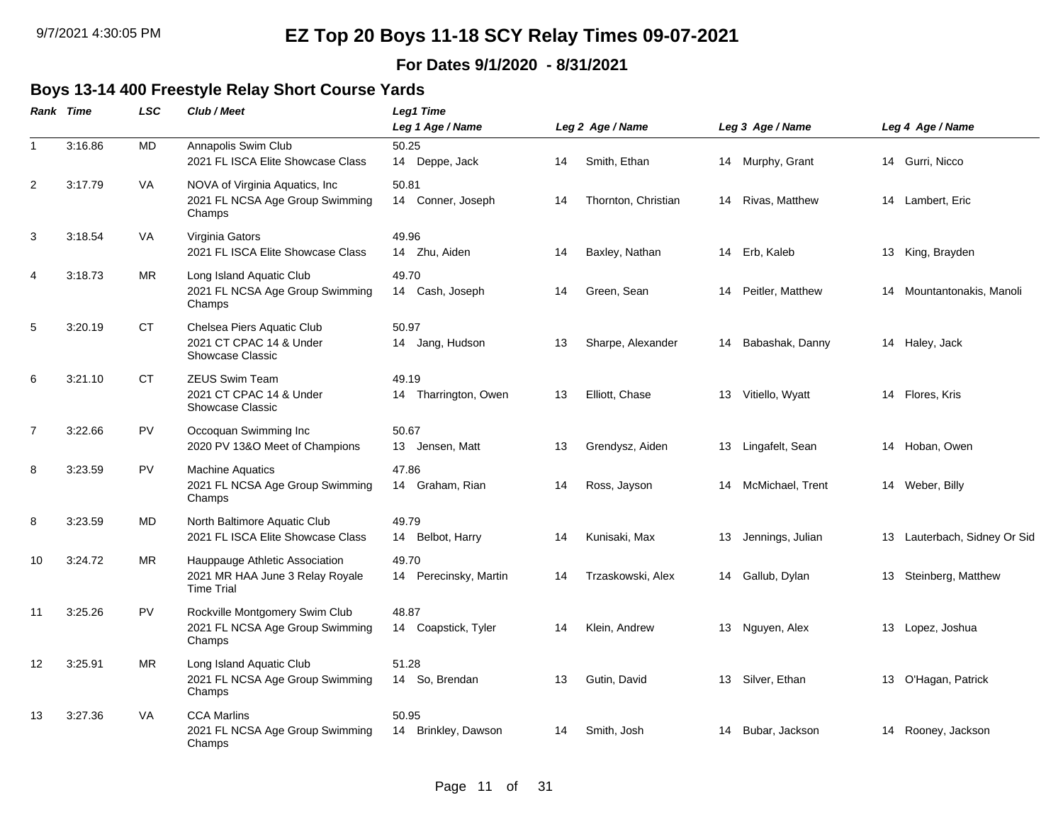### **For Dates 9/1/2020 - 8/31/2021**

#### **Boys 13-14 400 Freestyle Relay Short Course Yards**

|                | Rank Time | <b>LSC</b> | Club / Meet                                                                            | <b>Leg1 Time</b><br>Leg 1 Age / Name |    | Leg 2 Age / Name    |    | Leg 3 Age / Name |    | Leg 4 Age / Name          |
|----------------|-----------|------------|----------------------------------------------------------------------------------------|--------------------------------------|----|---------------------|----|------------------|----|---------------------------|
| $\overline{1}$ | 3:16.86   | MD         | Annapolis Swim Club<br>2021 FL ISCA Elite Showcase Class                               | 50.25<br>14 Deppe, Jack              | 14 | Smith, Ethan        |    | 14 Murphy, Grant |    | 14 Gurri, Nicco           |
| $\overline{2}$ | 3:17.79   | VA         | NOVA of Virginia Aquatics, Inc<br>2021 FL NCSA Age Group Swimming<br>Champs            | 50.81<br>14 Conner, Joseph           | 14 | Thornton, Christian | 14 | Rivas, Matthew   |    | 14 Lambert, Eric          |
| 3              | 3:18.54   | VA         | Virginia Gators<br>2021 FL ISCA Elite Showcase Class                                   | 49.96<br>14 Zhu, Aiden               | 14 | Baxley, Nathan      | 14 | Erb, Kaleb       |    | 13 King, Brayden          |
| 4              | 3:18.73   | <b>MR</b>  | Long Island Aquatic Club<br>2021 FL NCSA Age Group Swimming<br>Champs                  | 49.70<br>14 Cash, Joseph             | 14 | Green, Sean         | 14 | Peitler, Matthew |    | 14 Mountantonakis, Manoli |
| 5              | 3:20.19   | СT         | Chelsea Piers Aquatic Club<br>2021 CT CPAC 14 & Under<br>Showcase Classic              | 50.97<br>14 Jang, Hudson             | 13 | Sharpe, Alexander   | 14 | Babashak, Danny  |    | 14 Haley, Jack            |
| 6              | 3:21.10   | <b>CT</b>  | <b>ZEUS Swim Team</b><br>2021 CT CPAC 14 & Under<br><b>Showcase Classic</b>            | 49.19<br>14 Tharrington, Owen        | 13 | Elliott, Chase      | 13 | Vitiello, Wyatt  |    | 14 Flores, Kris           |
| $\overline{7}$ | 3:22.66   | PV         | Occoquan Swimming Inc<br>2020 PV 13&O Meet of Champions                                | 50.67<br>13 Jensen, Matt             | 13 | Grendysz, Aiden     | 13 | Lingafelt, Sean  | 14 | Hoban, Owen               |
| 8              | 3:23.59   | <b>PV</b>  | <b>Machine Aquatics</b><br>2021 FL NCSA Age Group Swimming<br>Champs                   | 47.86<br>14 Graham, Rian             | 14 | Ross, Jayson        | 14 | McMichael, Trent | 14 | Weber, Billy              |
| 8              | 3:23.59   | MD         | North Baltimore Aquatic Club<br>2021 FL ISCA Elite Showcase Class                      | 49.79<br>Belbot, Harry<br>14         | 14 | Kunisaki, Max       | 13 | Jennings, Julian | 13 | Lauterbach, Sidney Or Sid |
| 10             | 3:24.72   | <b>MR</b>  | Hauppauge Athletic Association<br>2021 MR HAA June 3 Relay Royale<br><b>Time Trial</b> | 49.70<br>14 Perecinsky, Martin       | 14 | Trzaskowski, Alex   | 14 | Gallub, Dylan    | 13 | Steinberg, Matthew        |
| 11             | 3:25.26   | <b>PV</b>  | Rockville Montgomery Swim Club<br>2021 FL NCSA Age Group Swimming<br>Champs            | 48.87<br>14 Coapstick, Tyler         | 14 | Klein, Andrew       | 13 | Nguyen, Alex     | 13 | Lopez, Joshua             |
| 12             | 3:25.91   | <b>MR</b>  | Long Island Aquatic Club<br>2021 FL NCSA Age Group Swimming<br>Champs                  | 51.28<br>14 So, Brendan              | 13 | Gutin, David        | 13 | Silver, Ethan    | 13 | O'Hagan, Patrick          |
| 13             | 3:27.36   | <b>VA</b>  | <b>CCA Marlins</b><br>2021 FL NCSA Age Group Swimming<br>Champs                        | 50.95<br>14 Brinkley, Dawson         | 14 | Smith, Josh         | 14 | Bubar, Jackson   | 14 | Rooney, Jackson           |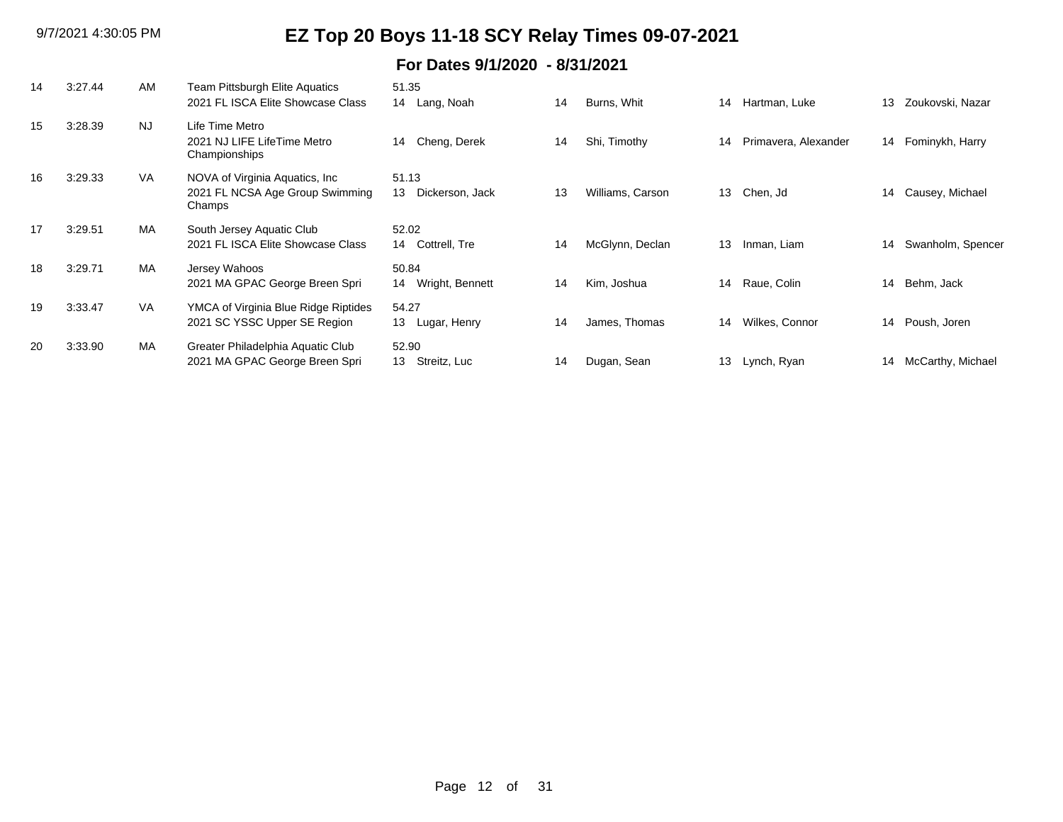| 14 | 3:27.44 | AM        | Team Pittsburgh Elite Aquatics<br>2021 FL ISCA Elite Showcase Class          | 51.35<br>14 Lang, Noah         | 14 | Burns, Whit      | 14              | Hartman, Luke        | 13 | Zoukovski, Nazar     |
|----|---------|-----------|------------------------------------------------------------------------------|--------------------------------|----|------------------|-----------------|----------------------|----|----------------------|
| 15 | 3:28.39 | <b>NJ</b> | Life Time Metro<br>2021 NJ LIFE LifeTime Metro<br>Championships              | Cheng, Derek<br>14             | 14 | Shi, Timothy     | 14              | Primavera, Alexander |    | 14 Fominykh, Harry   |
| 16 | 3:29.33 | VA        | NOVA of Virginia Aquatics, Inc.<br>2021 FL NCSA Age Group Swimming<br>Champs | 51.13<br>13<br>Dickerson, Jack | 13 | Williams, Carson | 13 <sup>2</sup> | Chen, Jd             | 14 | Causey, Michael      |
| 17 | 3:29.51 | MA        | South Jersey Aquatic Club<br>2021 FL ISCA Elite Showcase Class               | 52.02<br>14 Cottrell, Tre      | 14 | McGlynn, Declan  | 13              | Inman, Liam          | 14 | Swanholm, Spencer    |
| 18 | 3:29.71 | MA        | Jersey Wahoos<br>2021 MA GPAC George Breen Spri                              | 50.84<br>14 Wright, Bennett    | 14 | Kim, Joshua      | 14              | Raue, Colin          | 14 | Behm, Jack           |
| 19 | 3:33.47 | VA        | YMCA of Virginia Blue Ridge Riptides<br>2021 SC YSSC Upper SE Region         | 54.27<br>13<br>Lugar, Henry    | 14 | James, Thomas    | 14              | Wilkes, Connor       | 14 | Poush, Joren         |
| 20 | 3:33.90 | MA        | Greater Philadelphia Aquatic Club<br>2021 MA GPAC George Breen Spri          | 52.90<br>Streitz, Luc<br>13    | 14 | Dugan, Sean      | 13              | Lynch, Ryan          |    | 14 McCarthy, Michael |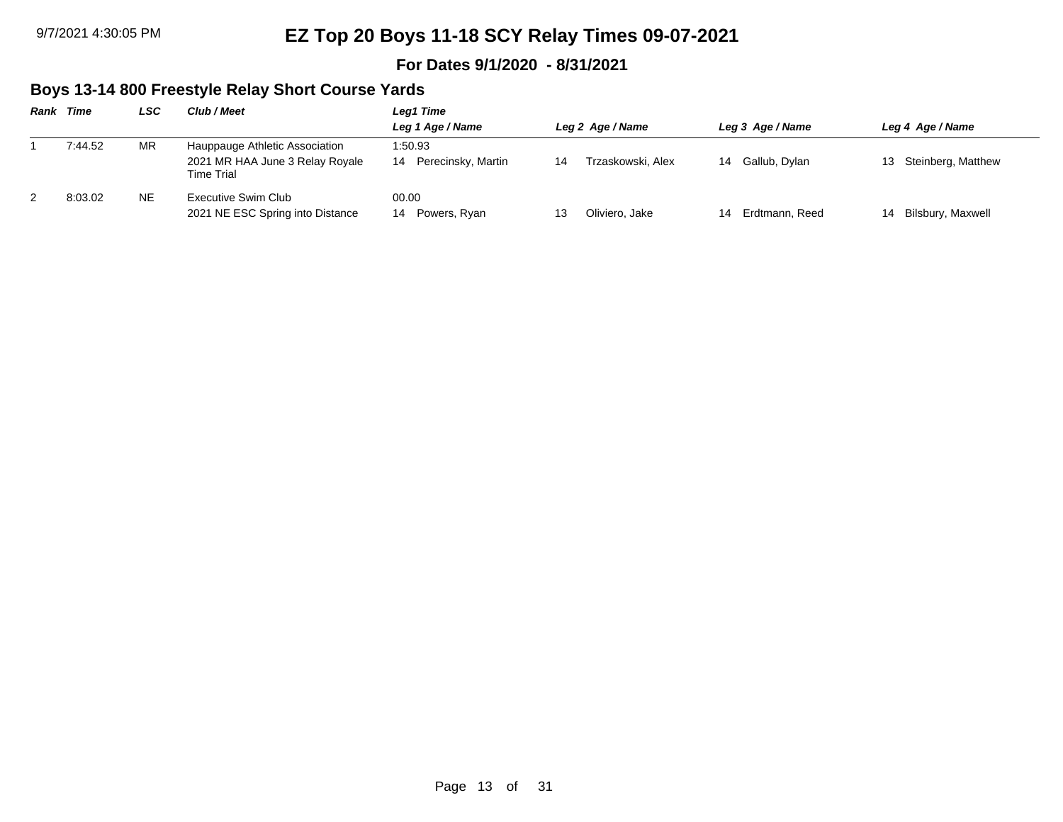#### **For Dates 9/1/2020 - 8/31/2021**

### **Boys 13-14 800 Freestyle Relay Short Course Yards**

| Rank | Time    | LSC       | Club / Meet                                                                     | Leg1 Time                           |    |                   |    |                  |    |                       |
|------|---------|-----------|---------------------------------------------------------------------------------|-------------------------------------|----|-------------------|----|------------------|----|-----------------------|
|      |         |           |                                                                                 | Leg 1 Age / Name                    |    | Leg 2 Age / Name  |    | Leg 3 Age / Name |    | Leg 4 Age / Name      |
|      | 7:44.52 | MR        | Hauppauge Athletic Association<br>2021 MR HAA June 3 Relay Royale<br>Time Trial | 1:50.93<br>Perecinsky, Martin<br>14 | 14 | Trzaskowski, Alex | 14 | Gallub, Dylan    |    | 13 Steinberg, Matthew |
|      | 8:03.02 | <b>NE</b> | Executive Swim Club<br>2021 NE ESC Spring into Distance                         | 00.00<br>Powers, Ryan<br>14         |    | Oliviero, Jake    | 14 | Erdtmann, Reed   | 14 | Bilsbury, Maxwell     |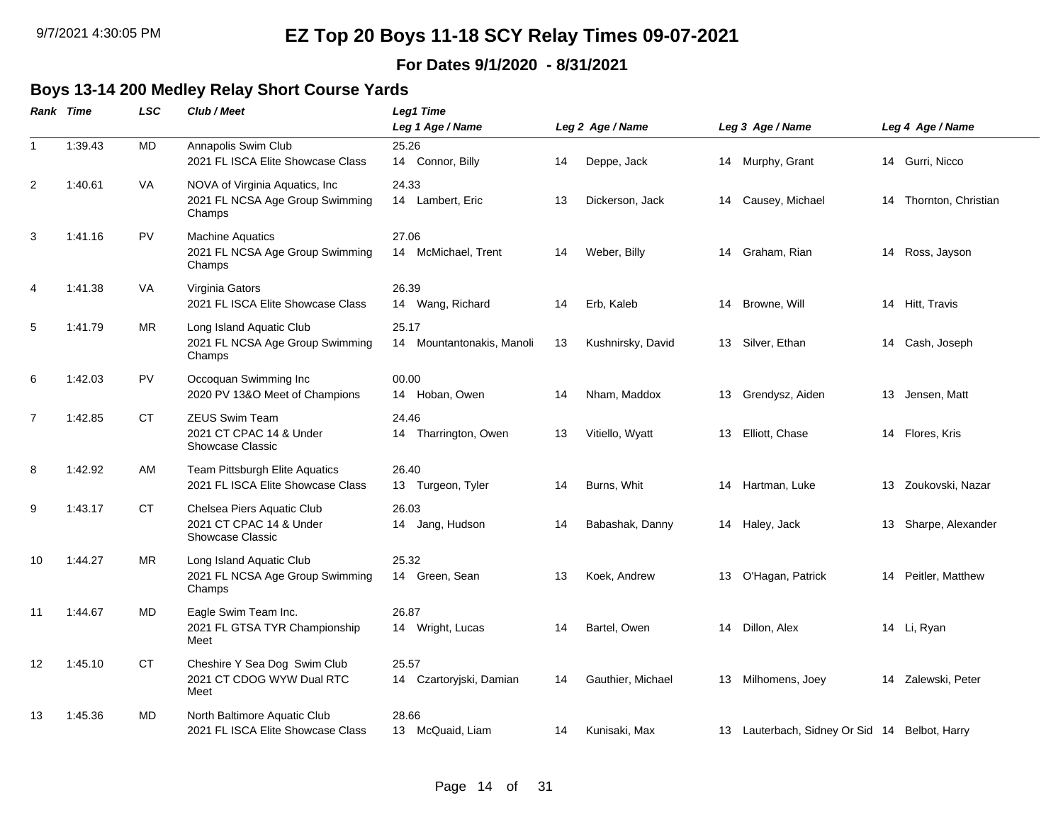### **For Dates 9/1/2020 - 8/31/2021**

# **Boys 13-14 200 Medley Relay Short Course Yards**

|                | Rank Time | <b>LSC</b> | Club / Meet                                                                  | <b>Leg1 Time</b>                   |    |                   |    |                                               |    |                     |
|----------------|-----------|------------|------------------------------------------------------------------------------|------------------------------------|----|-------------------|----|-----------------------------------------------|----|---------------------|
|                |           |            |                                                                              | Leg 1 Age / Name                   |    | Leg 2 Age / Name  |    | Leg 3 Age / Name                              |    | Leg 4 Age / Name    |
| $\mathbf{1}$   | 1:39.43   | <b>MD</b>  | Annapolis Swim Club<br>2021 FL ISCA Elite Showcase Class                     | 25.26<br>14 Connor, Billy          | 14 | Deppe, Jack       |    | 14 Murphy, Grant                              |    | 14 Gurri, Nicco     |
| 2              | 1:40.61   | VA         | NOVA of Virginia Aquatics, Inc.<br>2021 FL NCSA Age Group Swimming<br>Champs | 24.33<br>14 Lambert, Eric          | 13 | Dickerson, Jack   |    | 14 Causey, Michael                            | 14 | Thornton, Christian |
| 3              | 1:41.16   | <b>PV</b>  | <b>Machine Aquatics</b><br>2021 FL NCSA Age Group Swimming<br>Champs         | 27.06<br>14 McMichael, Trent       | 14 | Weber, Billy      | 14 | Graham, Rian                                  |    | 14 Ross, Jayson     |
| 4              | 1:41.38   | VA         | Virginia Gators<br>2021 FL ISCA Elite Showcase Class                         | 26.39<br>14 Wang, Richard          | 14 | Erb, Kaleb        |    | 14 Browne, Will                               |    | 14 Hitt, Travis     |
| 5              | 1:41.79   | MR.        | Long Island Aquatic Club<br>2021 FL NCSA Age Group Swimming<br>Champs        | 25.17<br>14 Mountantonakis, Manoli | 13 | Kushnirsky, David | 13 | Silver, Ethan                                 |    | 14 Cash, Joseph     |
| 6              | 1:42.03   | <b>PV</b>  | Occoquan Swimming Inc<br>2020 PV 13&O Meet of Champions                      | 00.00<br>14 Hoban, Owen            | 14 | Nham, Maddox      | 13 | Grendysz, Aiden                               | 13 | Jensen, Matt        |
| $\overline{7}$ | 1:42.85   | <b>CT</b>  | ZEUS Swim Team<br>2021 CT CPAC 14 & Under<br><b>Showcase Classic</b>         | 24.46<br>14 Tharrington, Owen      | 13 | Vitiello, Wyatt   | 13 | Elliott, Chase                                |    | 14 Flores, Kris     |
| 8              | 1:42.92   | AM         | Team Pittsburgh Elite Aquatics<br>2021 FL ISCA Elite Showcase Class          | 26.40<br>13 Turgeon, Tyler         | 14 | Burns, Whit       | 14 | Hartman, Luke                                 | 13 | Zoukovski, Nazar    |
| 9              | 1:43.17   | <b>CT</b>  | Chelsea Piers Aquatic Club<br>2021 CT CPAC 14 & Under<br>Showcase Classic    | 26.03<br>14 Jang, Hudson           | 14 | Babashak, Danny   |    | 14 Haley, Jack                                | 13 | Sharpe, Alexander   |
| 10             | 1:44.27   | <b>MR</b>  | Long Island Aquatic Club<br>2021 FL NCSA Age Group Swimming<br>Champs        | 25.32<br>14 Green, Sean            | 13 | Koek, Andrew      | 13 | O'Hagan, Patrick                              |    | 14 Peitler, Matthew |
| 11             | 1:44.67   | MD         | Eagle Swim Team Inc.<br>2021 FL GTSA TYR Championship<br>Meet                | 26.87<br>14 Wright, Lucas          | 14 | Bartel, Owen      | 14 | Dillon, Alex                                  |    | 14 Li, Ryan         |
| 12             | 1:45.10   | <b>CT</b>  | Cheshire Y Sea Dog Swim Club<br>2021 CT CDOG WYW Dual RTC<br>Meet            | 25.57<br>14 Czartoryjski, Damian   | 14 | Gauthier, Michael | 13 | Milhomens, Joey                               | 14 | Zalewski, Peter     |
| 13             | 1:45.36   | MD         | North Baltimore Aquatic Club<br>2021 FL ISCA Elite Showcase Class            | 28.66<br>13 McQuaid, Liam          | 14 | Kunisaki, Max     |    | 13 Lauterbach, Sidney Or Sid 14 Belbot, Harry |    |                     |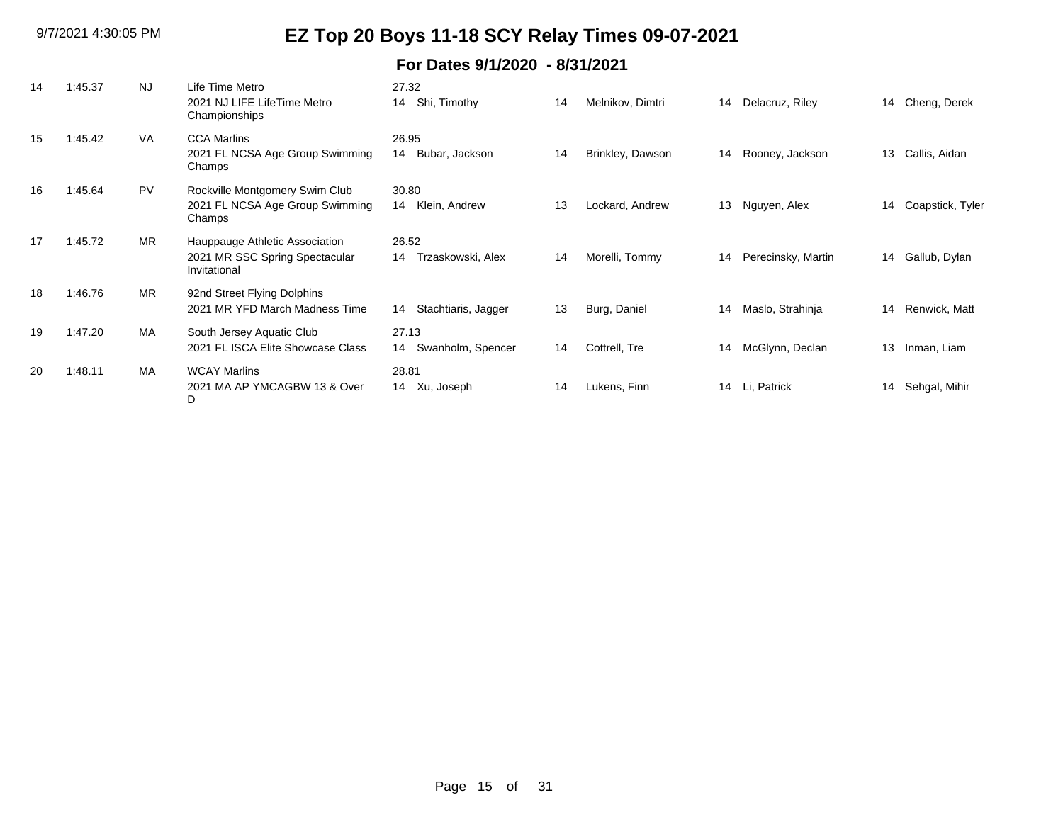| 14 | 1:45.37 | <b>NJ</b> | Life Time Metro<br>2021 NJ LIFE LifeTime Metro<br>Championships                  | 27.32<br>Shi, Timothy<br>14      | 14 | Melnikov, Dimtri | 14 | Delacruz, Riley    |    | 14 Cheng, Derek  |
|----|---------|-----------|----------------------------------------------------------------------------------|----------------------------------|----|------------------|----|--------------------|----|------------------|
| 15 | 1:45.42 | <b>VA</b> | <b>CCA Marlins</b><br>2021 FL NCSA Age Group Swimming<br>Champs                  | 26.95<br>Bubar, Jackson<br>14    | 14 | Brinkley, Dawson | 14 | Rooney, Jackson    | 13 | Callis, Aidan    |
| 16 | 1:45.64 | <b>PV</b> | Rockville Montgomery Swim Club<br>2021 FL NCSA Age Group Swimming<br>Champs      | 30.80<br>Klein, Andrew<br>14     | 13 | Lockard, Andrew  | 13 | Nguyen, Alex       | 14 | Coapstick, Tyler |
| 17 | 1:45.72 | <b>MR</b> | Hauppauge Athletic Association<br>2021 MR SSC Spring Spectacular<br>Invitational | 26.52<br>Trzaskowski, Alex<br>14 | 14 | Morelli, Tommy   | 14 | Perecinsky, Martin | 14 | Gallub, Dylan    |
| 18 | 1:46.76 | <b>MR</b> | 92nd Street Flying Dolphins<br>2021 MR YFD March Madness Time                    | Stachtiaris, Jagger<br>14        | 13 | Burg, Daniel     | 14 | Maslo, Strahinja   | 14 | Renwick, Matt    |
| 19 | 1:47.20 | MA        | South Jersey Aquatic Club<br>2021 FL ISCA Elite Showcase Class                   | 27.13<br>Swanholm, Spencer<br>14 | 14 | Cottrell, Tre    | 14 | McGlynn, Declan    | 13 | Inman, Liam      |
| 20 | 1:48.11 | MA        | <b>WCAY Marlins</b><br>2021 MA AP YMCAGBW 13 & Over<br>D                         | 28.81<br>Xu, Joseph<br>14        | 14 | Lukens, Finn     | 14 | Li, Patrick        | 14 | Sehgal, Mihir    |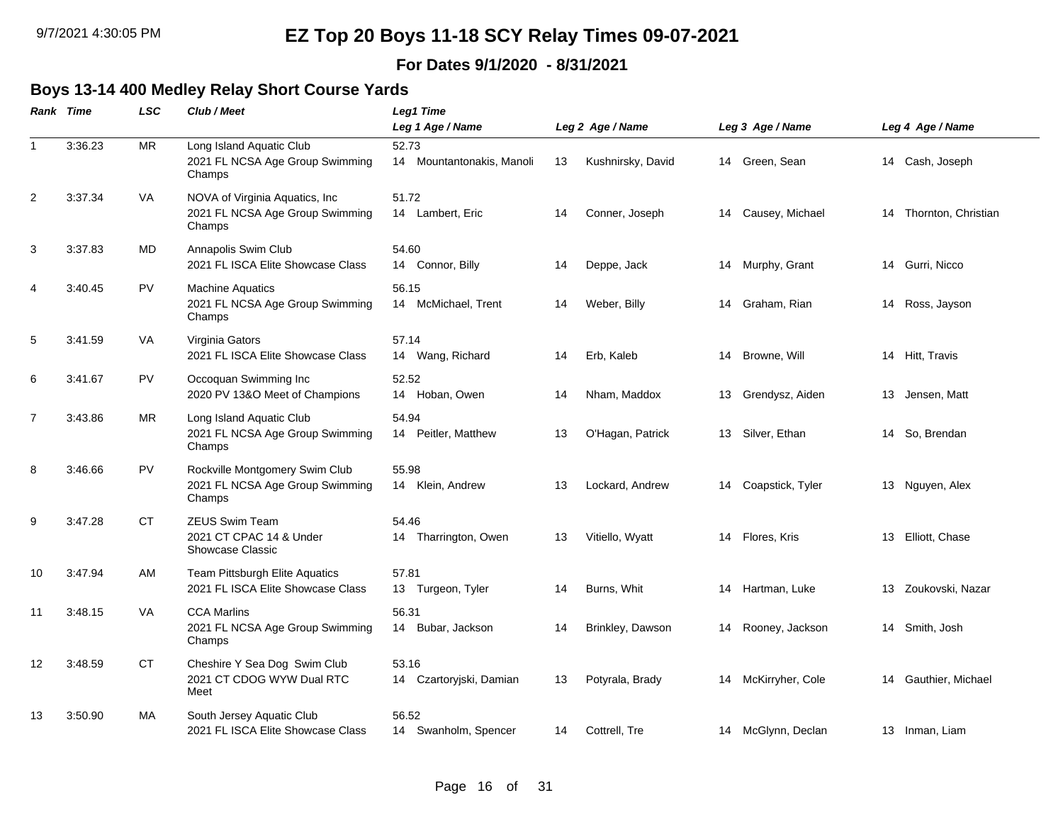### **For Dates 9/1/2020 - 8/31/2021**

#### **Boys 13-14 400 Medley Relay Short Course Yards**

|                | Rank Time | <b>LSC</b> | Club / Meet                                                                 | Leg1 Time                          |                  |                   |    |                    |    |                     |  |  |
|----------------|-----------|------------|-----------------------------------------------------------------------------|------------------------------------|------------------|-------------------|----|--------------------|----|---------------------|--|--|
|                |           |            |                                                                             | Leg 1 Age / Name                   | Leg 2 Age / Name |                   |    | Leg 3 Age / Name   |    | Leg 4 Age / Name    |  |  |
| $\mathbf{1}$   | 3:36.23   | <b>MR</b>  | Long Island Aquatic Club<br>2021 FL NCSA Age Group Swimming<br>Champs       | 52.73<br>14 Mountantonakis, Manoli | 13               | Kushnirsky, David |    | 14 Green, Sean     |    | 14 Cash, Joseph     |  |  |
| $\overline{c}$ | 3:37.34   | VA         | NOVA of Virginia Aquatics, Inc<br>2021 FL NCSA Age Group Swimming<br>Champs | 51.72<br>14 Lambert, Eric          | 14               | Conner, Joseph    | 14 | Causey, Michael    | 14 | Thornton, Christian |  |  |
| 3              | 3:37.83   | MD         | Annapolis Swim Club<br>2021 FL ISCA Elite Showcase Class                    | 54.60<br>14 Connor, Billy          | 14               | Deppe, Jack       | 14 | Murphy, Grant      | 14 | Gurri, Nicco        |  |  |
| 4              | 3:40.45   | PV         | <b>Machine Aquatics</b><br>2021 FL NCSA Age Group Swimming<br>Champs        | 56.15<br>14 McMichael, Trent       | 14               | Weber, Billy      | 14 | Graham, Rian       |    | 14 Ross, Jayson     |  |  |
| 5              | 3:41.59   | VA         | Virginia Gators<br>2021 FL ISCA Elite Showcase Class                        | 57.14<br>14 Wang, Richard          | 14               | Erb, Kaleb        |    | 14 Browne, Will    |    | 14 Hitt, Travis     |  |  |
| 6              | 3:41.67   | <b>PV</b>  | Occoquan Swimming Inc<br>2020 PV 13&O Meet of Champions                     | 52.52<br>14 Hoban, Owen            | 14               | Nham, Maddox      | 13 | Grendysz, Aiden    | 13 | Jensen, Matt        |  |  |
| $\overline{7}$ | 3:43.86   | MR         | Long Island Aquatic Club<br>2021 FL NCSA Age Group Swimming<br>Champs       | 54.94<br>14 Peitler, Matthew       | 13               | O'Hagan, Patrick  | 13 | Silver, Ethan      | 14 | So, Brendan         |  |  |
| 8              | 3:46.66   | PV         | Rockville Montgomery Swim Club<br>2021 FL NCSA Age Group Swimming<br>Champs | 55.98<br>14 Klein, Andrew          | 13               | Lockard, Andrew   | 14 | Coapstick, Tyler   |    | 13 Nguyen, Alex     |  |  |
| 9              | 3:47.28   | CT.        | <b>ZEUS Swim Team</b><br>2021 CT CPAC 14 & Under<br><b>Showcase Classic</b> | 54.46<br>14 Tharrington, Owen      | 13               | Vitiello, Wyatt   | 14 | Flores, Kris       | 13 | Elliott, Chase      |  |  |
| 10             | 3:47.94   | AM         | Team Pittsburgh Elite Aquatics<br>2021 FL ISCA Elite Showcase Class         | 57.81<br>13 Turgeon, Tyler         | 14               | Burns, Whit       | 14 | Hartman, Luke      | 13 | Zoukovski, Nazar    |  |  |
| 11             | 3:48.15   | <b>VA</b>  | <b>CCA Marlins</b><br>2021 FL NCSA Age Group Swimming<br>Champs             | 56.31<br>14 Bubar, Jackson         | 14               | Brinkley, Dawson  | 14 | Rooney, Jackson    |    | 14 Smith, Josh      |  |  |
| 12             | 3:48.59   | <b>CT</b>  | Cheshire Y Sea Dog Swim Club<br>2021 CT CDOG WYW Dual RTC<br>Meet           | 53.16<br>14 Czartoryjski, Damian   | 13               | Potyrala, Brady   | 14 | McKirryher, Cole   | 14 | Gauthier, Michael   |  |  |
| 13             | 3:50.90   | MA         | South Jersey Aquatic Club<br>2021 FL ISCA Elite Showcase Class              | 56.52<br>14 Swanholm, Spencer      | 14               | Cottrell, Tre     |    | 14 McGlynn, Declan |    | 13 Inman, Liam      |  |  |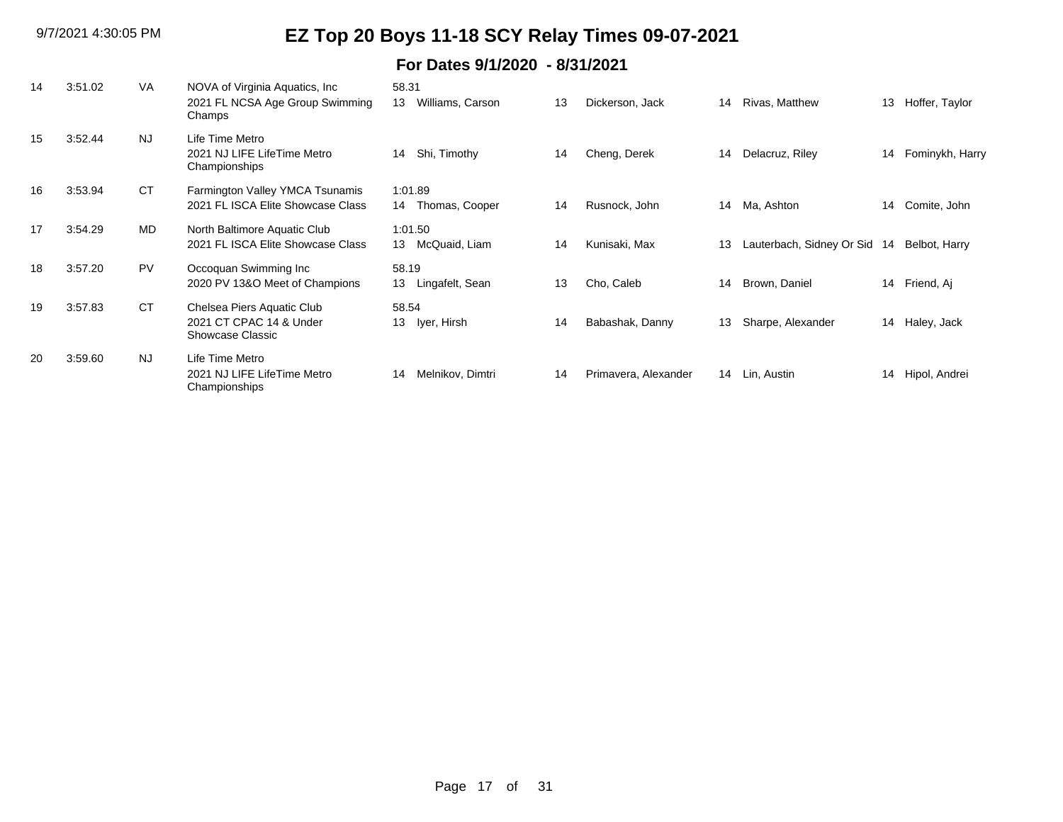| 14 | 3:51.02 | <b>VA</b> | NOVA of Virginia Aquatics, Inc.<br>2021 FL NCSA Age Group Swimming<br>Champs | 58.31<br>Williams, Carson<br>13 | 13 | Dickerson, Jack      | 14 | Rivas, Matthew            | 13 | Hoffer, Taylor  |
|----|---------|-----------|------------------------------------------------------------------------------|---------------------------------|----|----------------------|----|---------------------------|----|-----------------|
| 15 | 3:52.44 | <b>NJ</b> | Life Time Metro<br>2021 NJ LIFE LifeTime Metro<br>Championships              | Shi, Timothy<br>14              | 14 | Cheng, Derek         | 14 | Delacruz, Riley           | 14 | Fominykh, Harry |
| 16 | 3:53.94 | <b>CT</b> | Farmington Valley YMCA Tsunamis<br>2021 FL ISCA Elite Showcase Class         | 1:01.89<br>Thomas, Cooper<br>14 | 14 | Rusnock, John        | 14 | Ma, Ashton                | 14 | Comite, John    |
| 17 | 3:54.29 | <b>MD</b> | North Baltimore Aquatic Club<br>2021 FL ISCA Elite Showcase Class            | 1:01.50<br>McQuaid, Liam<br>13  | 14 | Kunisaki, Max        | 13 | Lauterbach, Sidney Or Sid | 14 | Belbot, Harry   |
| 18 | 3:57.20 | <b>PV</b> | Occoquan Swimming Inc<br>2020 PV 13&O Meet of Champions                      | 58.19<br>13<br>Lingafelt, Sean  | 13 | Cho, Caleb           | 14 | Brown, Daniel             | 14 | Friend, Aj      |
| 19 | 3:57.83 | <b>CT</b> | Chelsea Piers Aquatic Club<br>2021 CT CPAC 14 & Under<br>Showcase Classic    | 58.54<br>13<br>lyer, Hirsh      | 14 | Babashak, Danny      | 13 | Sharpe, Alexander         | 14 | Haley, Jack     |
| 20 | 3:59.60 | <b>NJ</b> | Life Time Metro<br>2021 NJ LIFE LifeTime Metro<br>Championships              | Melnikov, Dimtri<br>14          | 14 | Primavera, Alexander |    | 14 Lin, Austin            | 14 | Hipol, Andrei   |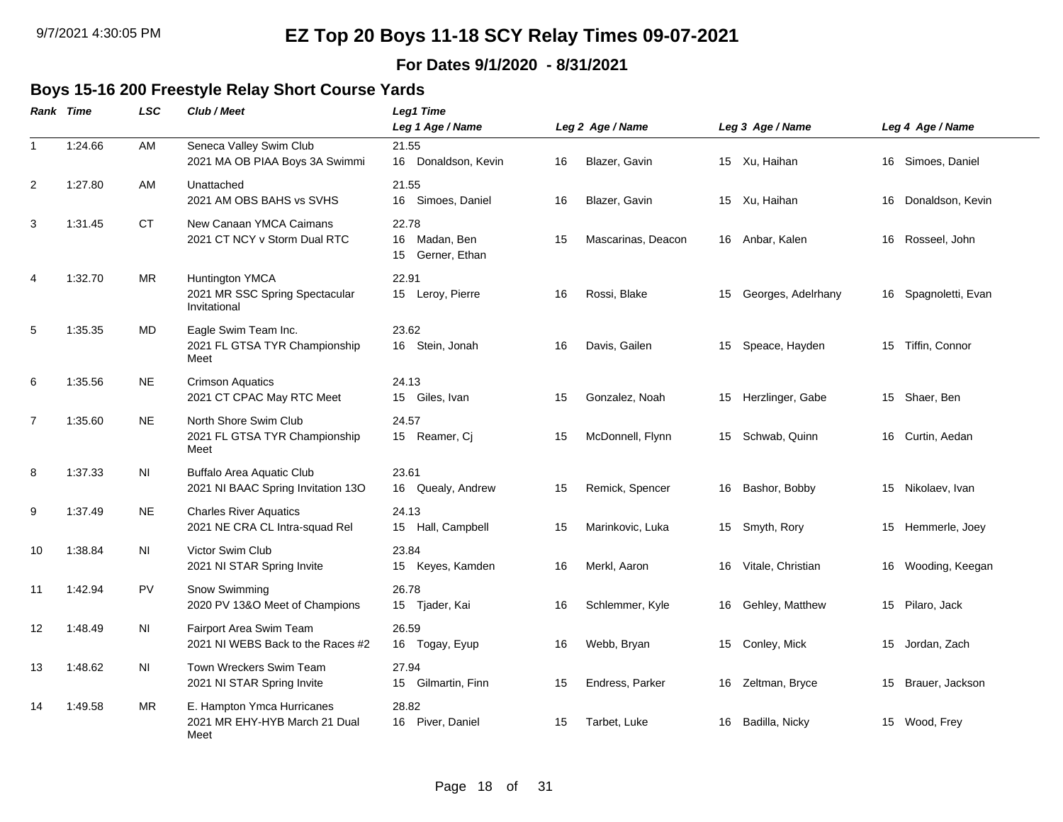#### **For Dates 9/1/2020 - 8/31/2021**

### **Boys 15-16 200 Freestyle Relay Short Course Yards**

|                | Rank Time | <b>LSC</b> | Club / Meet                                                         | <b>Leg1 Time</b><br>Leg 1 Age / Name          |    | Leg 2 Age / Name   | Leg 3 Age / Name |                    | Leg 4 Age / Name |                      |  |  |
|----------------|-----------|------------|---------------------------------------------------------------------|-----------------------------------------------|----|--------------------|------------------|--------------------|------------------|----------------------|--|--|
| $\mathbf{1}$   | 1:24.66   | AM         | Seneca Valley Swim Club<br>2021 MA OB PIAA Boys 3A Swimmi           | 21.55<br>16 Donaldson, Kevin                  | 16 | Blazer, Gavin      |                  | 15 Xu, Haihan      |                  | 16 Simoes, Daniel    |  |  |
| 2              | 1:27.80   | AM         | Unattached<br>2021 AM OBS BAHS vs SVHS                              | 21.55<br>16 Simoes, Daniel                    | 16 | Blazer, Gavin      |                  | 15 Xu, Haihan      | 16               | Donaldson, Kevin     |  |  |
| 3              | 1:31.45   | <b>CT</b>  | New Canaan YMCA Caimans<br>2021 CT NCY v Storm Dual RTC             | 22.78<br>16 Madan, Ben<br>Gerner, Ethan<br>15 | 15 | Mascarinas, Deacon | 16               | Anbar, Kalen       | 16               | Rosseel, John        |  |  |
| 4              | 1:32.70   | MR.        | Huntington YMCA<br>2021 MR SSC Spring Spectacular<br>Invitational   | 22.91<br>15 Leroy, Pierre                     | 16 | Rossi, Blake       | 15               | Georges, Adelrhany |                  | 16 Spagnoletti, Evan |  |  |
| 5              | 1:35.35   | MD         | Eagle Swim Team Inc.<br>2021 FL GTSA TYR Championship<br>Meet       | 23.62<br>16 Stein, Jonah                      | 16 | Davis, Gailen      | 15               | Speace, Hayden     | 15               | Tiffin, Connor       |  |  |
| 6              | 1:35.56   | <b>NE</b>  | <b>Crimson Aquatics</b><br>2021 CT CPAC May RTC Meet                | 24.13<br>15 Giles, Ivan                       | 15 | Gonzalez, Noah     | 15               | Herzlinger, Gabe   |                  | 15 Shaer, Ben        |  |  |
| $\overline{7}$ | 1:35.60   | <b>NE</b>  | North Shore Swim Club<br>2021 FL GTSA TYR Championship<br>Meet      | 24.57<br>15 Reamer, Cj                        | 15 | McDonnell, Flynn   | 15               | Schwab, Quinn      |                  | 16 Curtin, Aedan     |  |  |
| 8              | 1:37.33   | ΝI         | Buffalo Area Aquatic Club<br>2021 NI BAAC Spring Invitation 13O     | 23.61<br>16 Quealy, Andrew                    | 15 | Remick, Spencer    | 16               | Bashor, Bobby      |                  | 15 Nikolaev, Ivan    |  |  |
| 9              | 1:37.49   | <b>NE</b>  | <b>Charles River Aquatics</b><br>2021 NE CRA CL Intra-squad Rel     | 24.13<br>15 Hall, Campbell                    | 15 | Marinkovic, Luka   | 15               | Smyth, Rory        |                  | 15 Hemmerle, Joey    |  |  |
| 10             | 1:38.84   | <b>NI</b>  | Victor Swim Club<br>2021 NI STAR Spring Invite                      | 23.84<br>15 Keyes, Kamden                     | 16 | Merkl, Aaron       | 16               | Vitale, Christian  | 16               | Wooding, Keegan      |  |  |
| 11             | 1:42.94   | <b>PV</b>  | Snow Swimming<br>2020 PV 13&O Meet of Champions                     | 26.78<br>15 Tjader, Kai                       | 16 | Schlemmer, Kyle    | 16               | Gehley, Matthew    |                  | 15 Pilaro, Jack      |  |  |
| 12             | 1:48.49   | ΝI         | Fairport Area Swim Team<br>2021 NI WEBS Back to the Races #2        | 26.59<br>16 Togay, Eyup                       | 16 | Webb, Bryan        |                  | 15 Conley, Mick    |                  | 15 Jordan, Zach      |  |  |
| 13             | 1:48.62   | NI         | Town Wreckers Swim Team<br>2021 NI STAR Spring Invite               | 27.94<br>Gilmartin, Finn<br>15                | 15 | Endress, Parker    | 16               | Zeltman, Bryce     | 15               | Brauer, Jackson      |  |  |
| 14             | 1:49.58   | MR.        | E. Hampton Ymca Hurricanes<br>2021 MR EHY-HYB March 21 Dual<br>Meet | 28.82<br>16 Piver, Daniel                     | 15 | Tarbet, Luke       | 16               | Badilla, Nicky     | 15               | Wood, Frey           |  |  |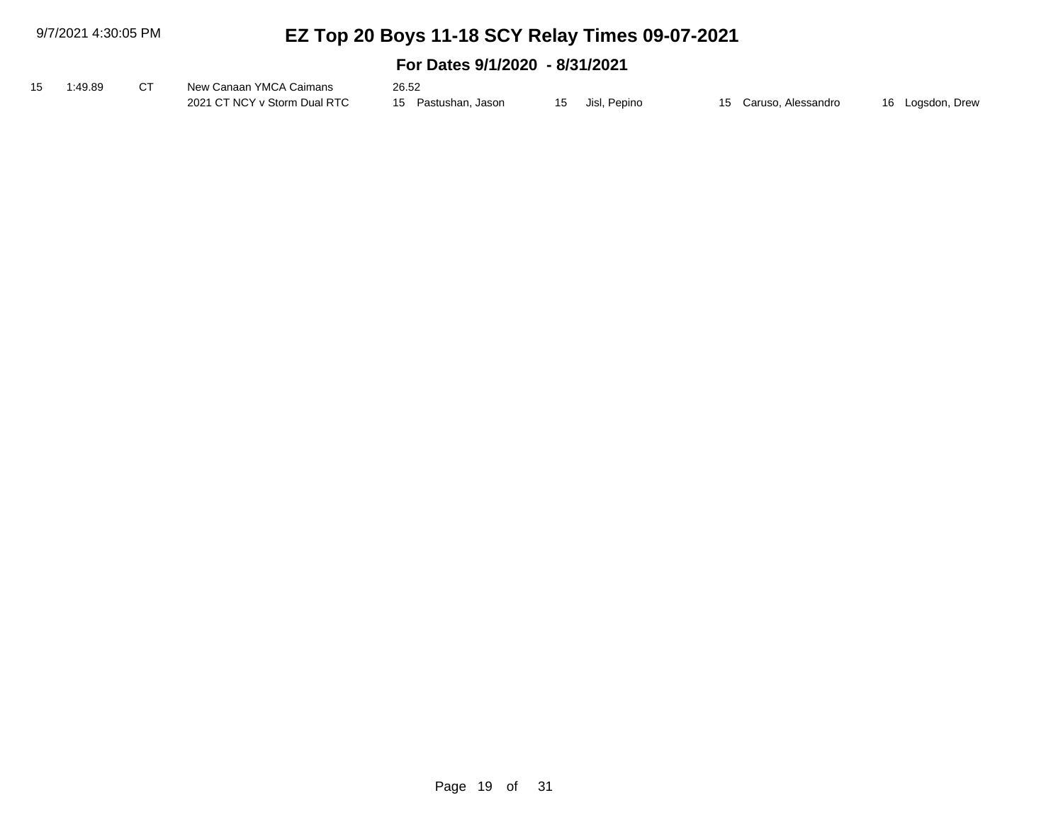| 15 1:49.89 | New Canaan YMCA Caimans      | 26.52               |              |                       |                  |
|------------|------------------------------|---------------------|--------------|-----------------------|------------------|
|            | 2021 CT NCY v Storm Dual RTC | 15 Pastushan, Jason | Jisl, Pepino | 15 Caruso, Alessandro | 16 Logsdon, Drew |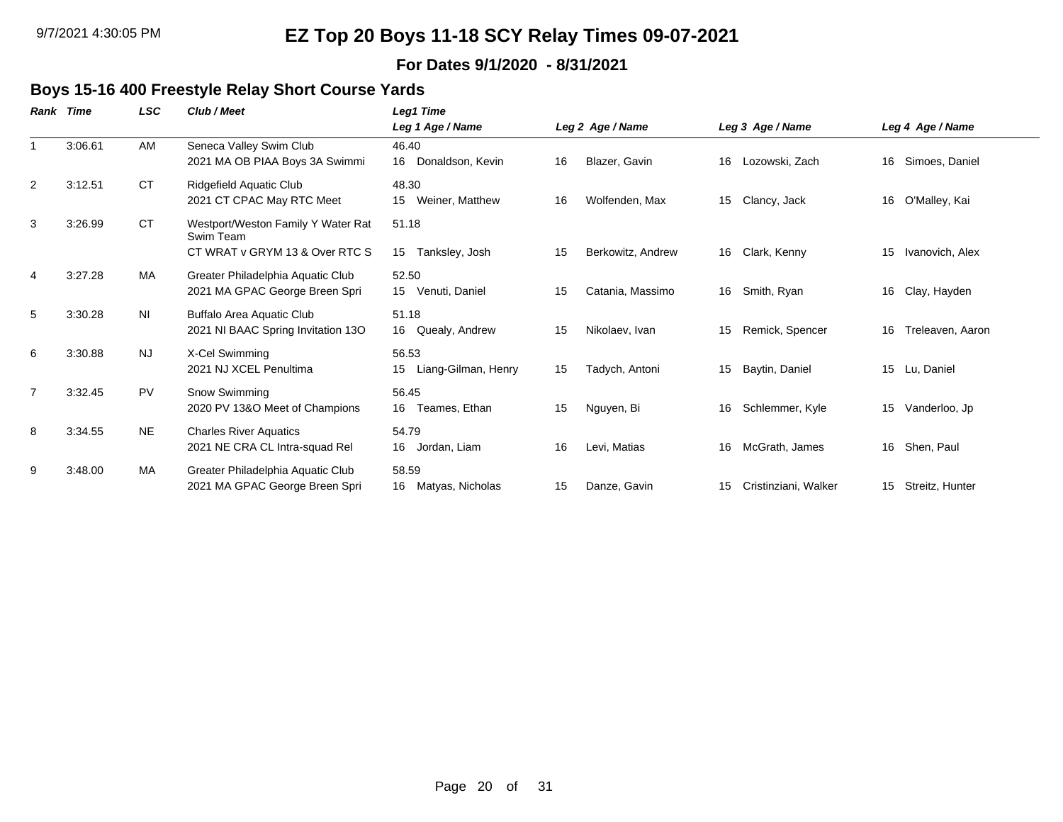#### **For Dates 9/1/2020 - 8/31/2021**

### **Boys 15-16 400 Freestyle Relay Short Course Yards**

| Rank           | Time    | LSC            | Club / Meet                                                                       | Leg1 Time                          |    |                   |    |                      |    |                  |
|----------------|---------|----------------|-----------------------------------------------------------------------------------|------------------------------------|----|-------------------|----|----------------------|----|------------------|
|                |         |                |                                                                                   | Leg 1 Age / Name                   |    | Leg 2 Age / Name  |    | Leg 3 Age / Name     |    | Leg 4 Age / Name |
|                | 3:06.61 | AM             | Seneca Valley Swim Club<br>2021 MA OB PIAA Boys 3A Swimmi                         | 46.40<br>Donaldson, Kevin<br>16    | 16 | Blazer, Gavin     | 16 | Lozowski, Zach       | 16 | Simoes, Daniel   |
| 2              | 3:12.51 | <b>CT</b>      | Ridgefield Aquatic Club<br>2021 CT CPAC May RTC Meet                              | 48.30<br>Weiner, Matthew<br>15     | 16 | Wolfenden, Max    | 15 | Clancy, Jack         | 16 | O'Malley, Kai    |
| 3              | 3:26.99 | <b>CT</b>      | Westport/Weston Family Y Water Rat<br>Swim Team<br>CT WRAT v GRYM 13 & Over RTC S | 51.18<br>Tanksley, Josh<br>15      | 15 | Berkowitz, Andrew | 16 | Clark, Kenny         | 15 | Ivanovich, Alex  |
| $\overline{4}$ | 3:27.28 | MA             | Greater Philadelphia Aquatic Club<br>2021 MA GPAC George Breen Spri               | 52.50<br>15 Venuti, Daniel         | 15 | Catania, Massimo  | 16 | Smith, Ryan          | 16 | Clay, Hayden     |
| 5              | 3:30.28 | N <sub>l</sub> | <b>Buffalo Area Aquatic Club</b><br>2021 NI BAAC Spring Invitation 13O            | 51.18<br>16<br>Quealy, Andrew      | 15 | Nikolaev, Ivan    | 15 | Remick, Spencer      | 16 | Treleaven, Aaron |
| 6              | 3:30.88 | <b>NJ</b>      | X-Cel Swimming<br>2021 NJ XCEL Penultima                                          | 56.53<br>Liang-Gilman, Henry<br>15 | 15 | Tadych, Antoni    | 15 | Baytin, Daniel       | 15 | Lu. Daniel       |
| $\overline{7}$ | 3:32.45 | <b>PV</b>      | Snow Swimming<br>2020 PV 13&O Meet of Champions                                   | 56.45<br>16<br>Teames, Ethan       | 15 | Nguyen, Bi        | 16 | Schlemmer, Kyle      | 15 | Vanderloo, Jp    |
| 8              | 3:34.55 | <b>NE</b>      | <b>Charles River Aquatics</b><br>2021 NE CRA CL Intra-squad Rel                   | 54.79<br>16<br>Jordan, Liam        | 16 | Levi, Matias      | 16 | McGrath, James       | 16 | Shen, Paul       |
| 9              | 3:48.00 | MA             | Greater Philadelphia Aquatic Club<br>2021 MA GPAC George Breen Spri               | 58.59<br>16<br>Matyas, Nicholas    | 15 | Danze, Gavin      | 15 | Cristinziani, Walker | 15 | Streitz, Hunter  |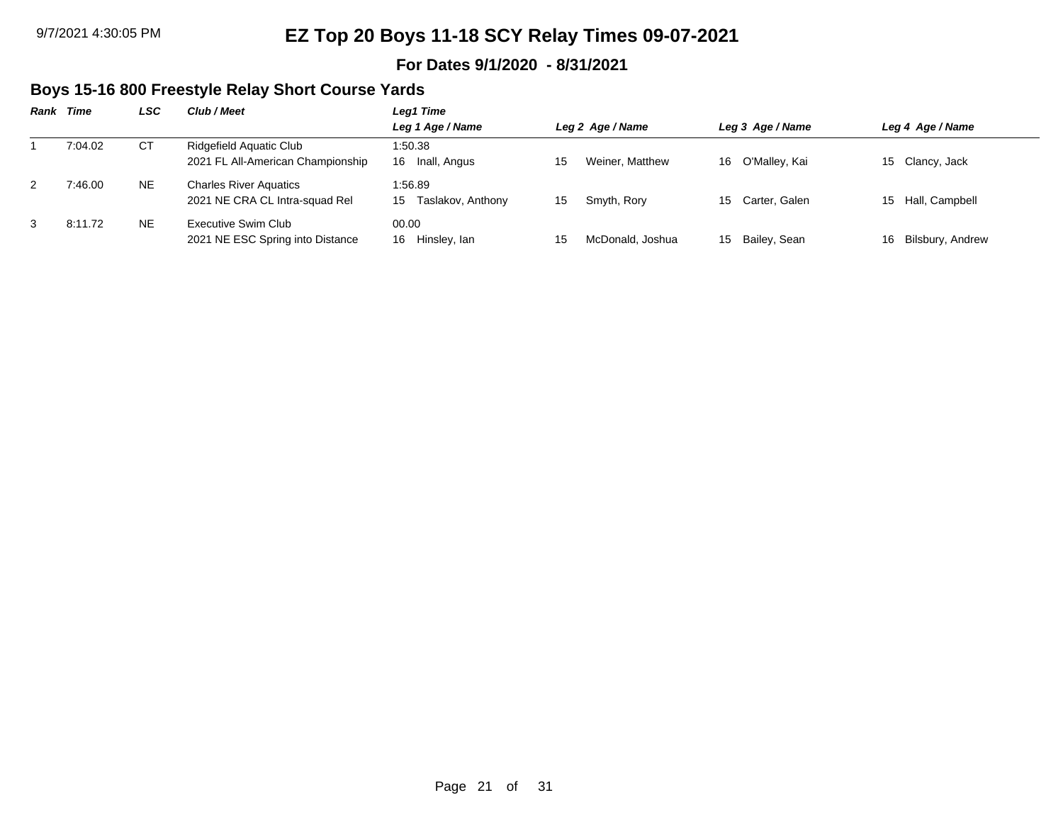#### **For Dates 9/1/2020 - 8/31/2021**

### **Boys 15-16 800 Freestyle Relay Short Course Yards**

| Rank | Time    | LSC | Club / Meet                       | Leg1 Time               |                        |                     |                        |  |  |  |  |
|------|---------|-----|-----------------------------------|-------------------------|------------------------|---------------------|------------------------|--|--|--|--|
|      |         |     |                                   | Leg 1 Age / Name        | Leg 2 Age / Name       | Leg 3 Age / Name    | Leg 4 Age / Name       |  |  |  |  |
|      | 7:04.02 | СT  | Ridgefield Aquatic Club           | 1:50.38                 |                        |                     |                        |  |  |  |  |
|      |         |     | 2021 FL All-American Championship | Inall, Angus<br>16      | Weiner, Matthew<br>15  | O'Malley, Kai<br>16 | 15 Clancy, Jack        |  |  |  |  |
| 2    | 7:46.00 | NE. | <b>Charles River Aquatics</b>     | 1:56.89                 |                        |                     |                        |  |  |  |  |
|      |         |     | 2021 NE CRA CL Intra-squad Rel    | Taslakov, Anthony<br>15 | Smyth, Rory<br>15      | 15 Carter, Galen    | 15 Hall, Campbell      |  |  |  |  |
| 3    | 8:11.72 | NE  | Executive Swim Club               | 00.00                   |                        |                     |                        |  |  |  |  |
|      |         |     | 2021 NE ESC Spring into Distance  | Hinsley, Ian<br>16      | McDonald, Joshua<br>15 | Bailey, Sean<br>15  | Bilsbury, Andrew<br>16 |  |  |  |  |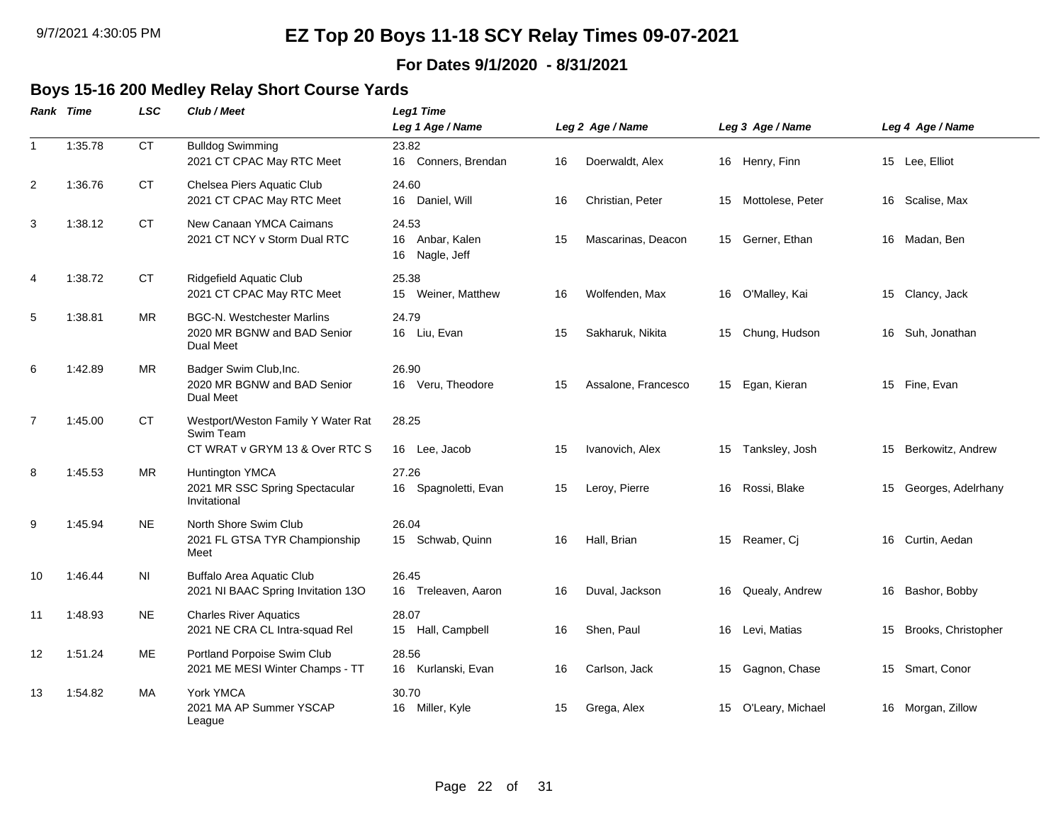### **For Dates 9/1/2020 - 8/31/2021**

#### **Boys 15-16 200 Medley Relay Short Course Yards**

|                | <b>Rank Time</b> | <b>LSC</b> | Club / Meet                                                                          | Leg1 Time<br>Leg 1 Age / Name                 |    | Leg 2 Age / Name    |    | Leg 3 Age / Name    | Leg 4 Age / Name       |
|----------------|------------------|------------|--------------------------------------------------------------------------------------|-----------------------------------------------|----|---------------------|----|---------------------|------------------------|
| $\mathbf{1}$   | 1:35.78          | <b>CT</b>  | <b>Bulldog Swimming</b><br>2021 CT CPAC May RTC Meet                                 | 23.82<br>16<br>Conners, Brendan               | 16 | Doerwaldt, Alex     |    | 16 Henry, Finn      | 15 Lee, Elliot         |
| 2              | 1:36.76          | <b>CT</b>  | Chelsea Piers Aquatic Club<br>2021 CT CPAC May RTC Meet                              | 24.60<br>16 Daniel, Will                      | 16 | Christian, Peter    |    | 15 Mottolese, Peter | 16 Scalise, Max        |
| 3              | 1:38.12          | <b>CT</b>  | New Canaan YMCA Caimans<br>2021 CT NCY v Storm Dual RTC                              | 24.53<br>16 Anbar, Kalen<br>16<br>Nagle, Jeff | 15 | Mascarinas, Deacon  |    | 15 Gerner, Ethan    | 16 Madan, Ben          |
| $\overline{4}$ | 1:38.72          | <b>CT</b>  | Ridgefield Aquatic Club<br>2021 CT CPAC May RTC Meet                                 | 25.38<br>15<br>Weiner, Matthew                | 16 | Wolfenden, Max      |    | 16 O'Malley, Kai    | 15 Clancy, Jack        |
| 5              | 1:38.81          | <b>MR</b>  | <b>BGC-N. Westchester Marlins</b><br>2020 MR BGNW and BAD Senior<br><b>Dual Meet</b> | 24.79<br>16 Liu, Evan                         | 15 | Sakharuk, Nikita    |    | 15 Chung, Hudson    | 16 Suh, Jonathan       |
| 6              | 1:42.89          | <b>MR</b>  | Badger Swim Club, Inc.<br>2020 MR BGNW and BAD Senior<br>Dual Meet                   | 26.90<br>16 Veru, Theodore                    | 15 | Assalone, Francesco |    | 15 Egan, Kieran     | 15 Fine, Evan          |
| $\overline{7}$ | 1:45.00          | <b>CT</b>  | Westport/Weston Family Y Water Rat<br>Swim Team<br>CT WRAT v GRYM 13 & Over RTC S    | 28.25<br>16 Lee, Jacob                        | 15 | Ivanovich, Alex     |    | 15 Tanksley, Josh   | 15 Berkowitz, Andrew   |
| 8              | 1:45.53          | <b>MR</b>  | <b>Huntington YMCA</b><br>2021 MR SSC Spring Spectacular<br>Invitational             | 27.26<br>16<br>Spagnoletti, Evan              | 15 | Leroy, Pierre       | 16 | Rossi, Blake        | 15 Georges, Adelrhany  |
| 9              | 1:45.94          | <b>NE</b>  | North Shore Swim Club<br>2021 FL GTSA TYR Championship<br>Meet                       | 26.04<br>15 Schwab, Quinn                     | 16 | Hall, Brian         |    | 15 Reamer, Cj       | 16 Curtin, Aedan       |
| 10             | 1:46.44          | ΝI         | <b>Buffalo Area Aquatic Club</b><br>2021 NI BAAC Spring Invitation 13O               | 26.45<br>Treleaven, Aaron<br>16               | 16 | Duval, Jackson      | 16 | Quealy, Andrew      | 16 Bashor, Bobby       |
| 11             | 1:48.93          | <b>NE</b>  | <b>Charles River Aquatics</b><br>2021 NE CRA CL Intra-squad Rel                      | 28.07<br>15 Hall, Campbell                    | 16 | Shen, Paul          |    | 16 Levi, Matias     | 15 Brooks, Christopher |
| 12             | 1:51.24          | ME         | Portland Porpoise Swim Club<br>2021 ME MESI Winter Champs - TT                       | 28.56<br>Kurlanski, Evan<br>16                | 16 | Carlson, Jack       | 15 | Gagnon, Chase       | 15 Smart, Conor        |
| 13             | 1:54.82          | MA         | York YMCA<br>2021 MA AP Summer YSCAP<br>League                                       | 30.70<br>16 Miller, Kyle                      | 15 | Grega, Alex         |    | 15 O'Leary, Michael | 16 Morgan, Zillow      |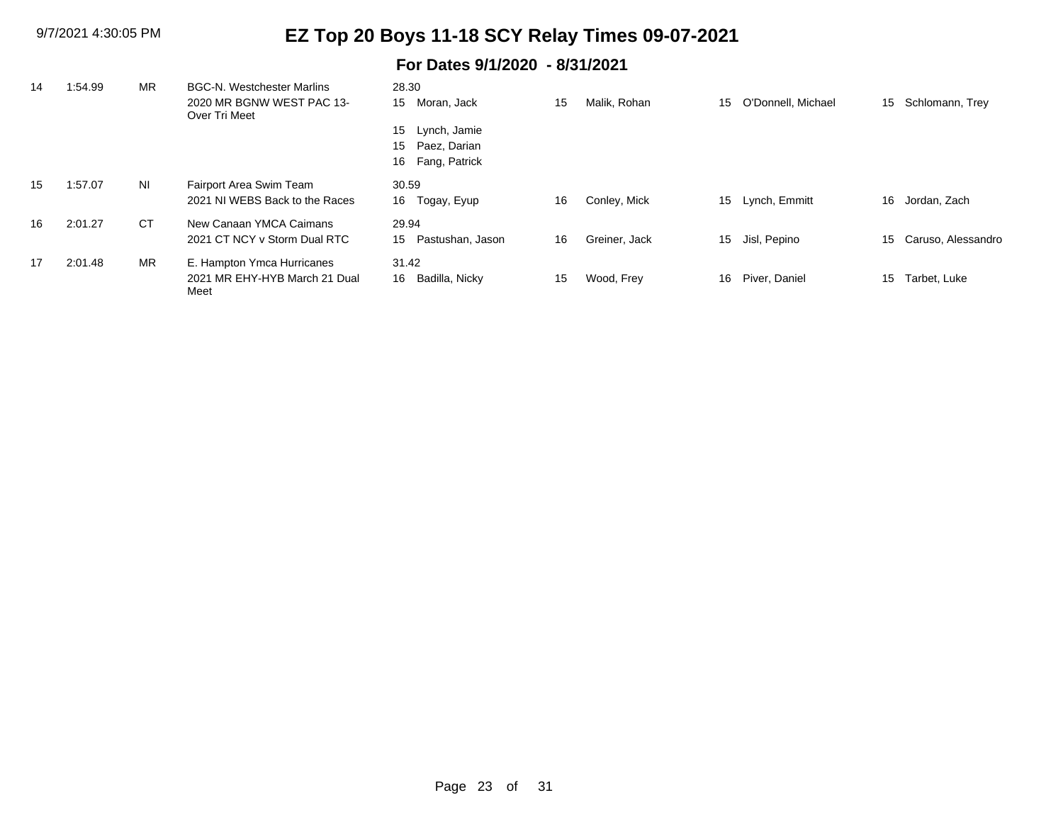| 14 | :54.99  | <b>MR</b> | <b>BGC-N. Westchester Marlins</b>          | 28.30                  |    |               |    |                    |    |                       |
|----|---------|-----------|--------------------------------------------|------------------------|----|---------------|----|--------------------|----|-----------------------|
|    |         |           | 2020 MR BGNW WEST PAC 13-<br>Over Tri Meet | Moran, Jack<br>15      | 15 | Malik, Rohan  | 15 | O'Donnell, Michael | 15 | Schlomann, Trey       |
|    |         |           |                                            | Lynch, Jamie<br>15     |    |               |    |                    |    |                       |
|    |         |           |                                            | Paez, Darian<br>15     |    |               |    |                    |    |                       |
|    |         |           |                                            | Fang, Patrick<br>16    |    |               |    |                    |    |                       |
| 15 | 1:57.07 | NI        | Fairport Area Swim Team                    | 30.59                  |    |               |    |                    |    |                       |
|    |         |           | 2021 NJ WEBS Back to the Races             | 16<br>Togay, Eyup      | 16 | Conley, Mick  | 15 | Lynch, Emmitt      | 16 | Jordan, Zach          |
| 16 | 2:01.27 | <b>CT</b> | New Canaan YMCA Caimans                    | 29.94                  |    |               |    |                    |    |                       |
|    |         |           | 2021 CT NCY v Storm Dual RTC               | Pastushan, Jason<br>15 | 16 | Greiner, Jack | 15 | Jisl, Pepino       |    | 15 Caruso, Alessandro |
| 17 | 2:01.48 | <b>MR</b> | E. Hampton Ymca Hurricanes                 | 31.42                  |    |               |    |                    |    |                       |
|    |         |           | 2021 MR EHY-HYB March 21 Dual<br>Meet      | Badilla, Nicky<br>16   | 15 | Wood, Frey    | 16 | Piver, Daniel      | 15 | Tarbet, Luke          |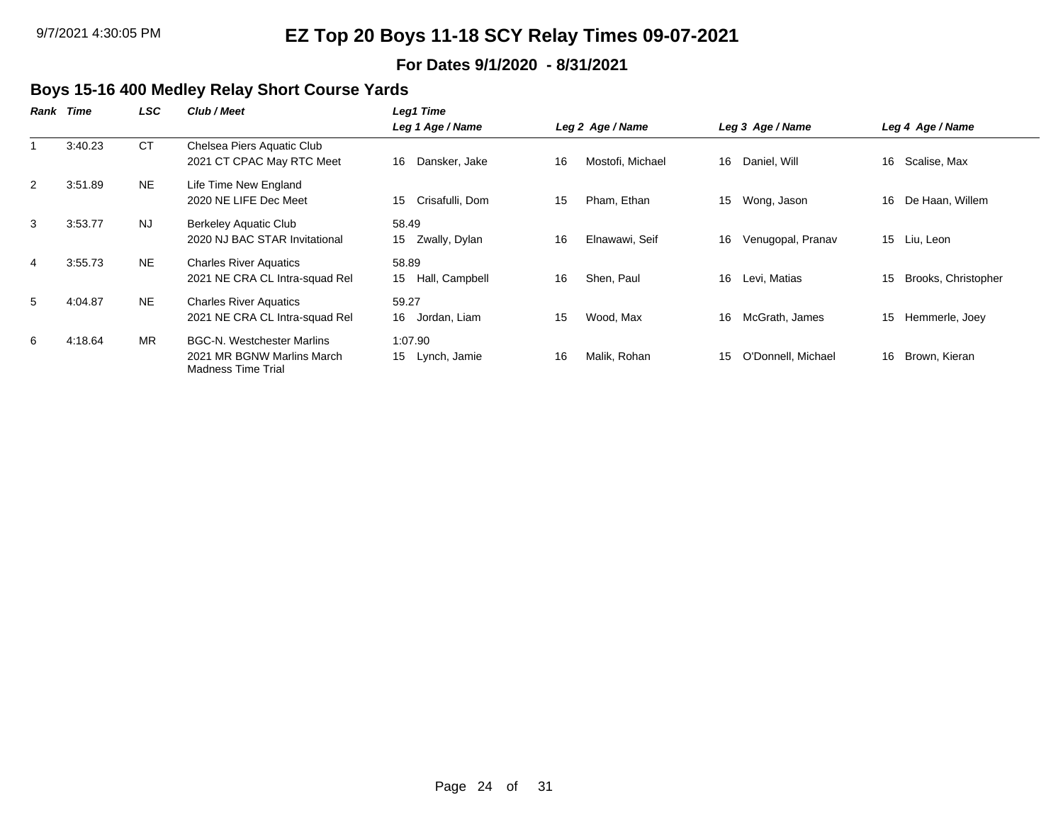#### **For Dates 9/1/2020 - 8/31/2021**

### **Boys 15-16 400 Medley Relay Short Course Yards**

| Rank | Time    | <b>LSC</b> | Club / Meet                                                                                  | Leg1 Time                     |                        |                          |                           |
|------|---------|------------|----------------------------------------------------------------------------------------------|-------------------------------|------------------------|--------------------------|---------------------------|
|      |         |            |                                                                                              | Leg 1 Age / Name              | Leg 2 Age / Name       | Leg 3 Age / Name         | Leg 4 Age / Name          |
|      | 3:40.23 | <b>CT</b>  | Chelsea Piers Aquatic Club<br>2021 CT CPAC May RTC Meet                                      | Dansker, Jake<br>16           | 16<br>Mostofi, Michael | Daniel, Will<br>16       | Scalise, Max<br>16        |
| 2    | 3:51.89 | NE.        | Life Time New England<br>2020 NE LIFE Dec Meet                                               | Crisafulli, Dom<br>15         | Pham, Ethan<br>15      | Wong, Jason<br>15        | De Haan, Willem<br>16     |
| 3    | 3:53.77 | <b>NJ</b>  | Berkeley Aquatic Club<br>2020 NJ BAC STAR Invitational                                       | 58.49<br>Zwally, Dylan<br>15  | 16<br>Elnawawi, Seif   | Venugopal, Pranav<br>16  | 15 Liu, Leon              |
| 4    | 3:55.73 | <b>NE</b>  | <b>Charles River Aquatics</b><br>2021 NE CRA CL Intra-squad Rel                              | 58.89<br>Hall, Campbell<br>15 | 16<br>Shen, Paul       | Levi, Matias<br>16       | Brooks, Christopher<br>15 |
| 5    | 4:04.87 | NE.        | <b>Charles River Aquatics</b><br>2021 NE CRA CL Intra-squad Rel                              | 59.27<br>16<br>Jordan, Liam   | 15<br>Wood, Max        | McGrath, James<br>16     | 15<br>Hemmerle, Joey      |
| 6    | 4:18.64 | <b>MR</b>  | <b>BGC-N. Westchester Marlins</b><br>2021 MR BGNW Marlins March<br><b>Madness Time Trial</b> | 1:07.90<br>15<br>Lynch, Jamie | 16<br>Malik, Rohan     | O'Donnell, Michael<br>15 | Brown, Kieran<br>16       |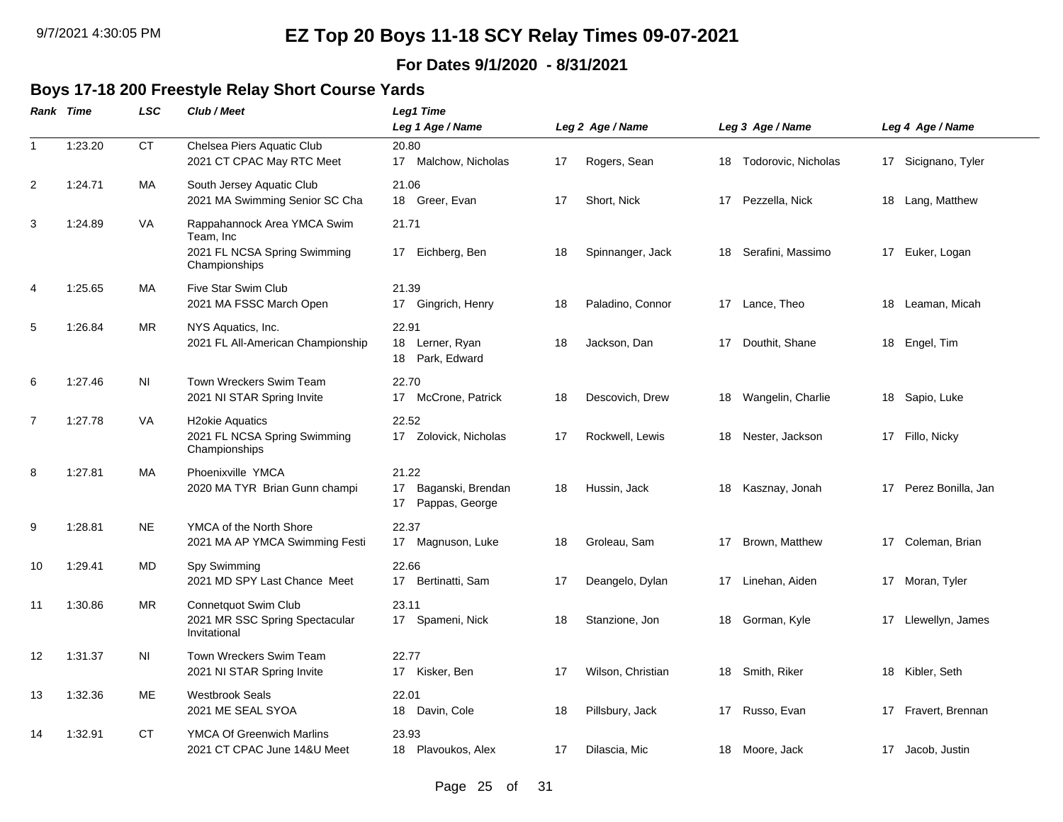### **For Dates 9/1/2020 - 8/31/2021**

### **Boys 17-18 200 Freestyle Relay Short Course Yards**

|                | <b>Rank Time</b> | LSC            | Club / Meet                                                                               | Leg1 Time<br>Leg 1 Age / Name                                         |    | Leg 2 Age / Name  |    | Leg 3 Age / Name       | Leg 4 Age / Name      |
|----------------|------------------|----------------|-------------------------------------------------------------------------------------------|-----------------------------------------------------------------------|----|-------------------|----|------------------------|-----------------------|
| $\mathbf{1}$   | 1:23.20          | <b>CT</b>      | Chelsea Piers Aquatic Club<br>2021 CT CPAC May RTC Meet                                   | 20.80<br>17 Malchow, Nicholas                                         | 17 | Rogers, Sean      |    | 18 Todorovic, Nicholas | 17 Sicignano, Tyler   |
| 2              | 1:24.71          | МA             | South Jersey Aquatic Club<br>2021 MA Swimming Senior SC Cha                               | 21.06<br>18<br>Greer, Evan                                            | 17 | Short, Nick       |    | 17 Pezzella, Nick      | 18 Lang, Matthew      |
| 3              | 1:24.89          | VA             | Rappahannock Area YMCA Swim<br>Team, Inc<br>2021 FL NCSA Spring Swimming<br>Championships | 21.71<br>17 Eichberg, Ben                                             | 18 | Spinnanger, Jack  |    | 18 Serafini, Massimo   | 17 Euker, Logan       |
| 4              | 1:25.65          | МA             | Five Star Swim Club<br>2021 MA FSSC March Open                                            | 21.39<br>17 Gingrich, Henry                                           | 18 | Paladino, Connor  | 17 | Lance, Theo            | 18 Leaman, Micah      |
| 5              | 1:26.84          | ΜR             | NYS Aquatics, Inc.<br>2021 FL All-American Championship                                   | 22.91<br>18 Lerner, Ryan<br>Park, Edward<br>18                        | 18 | Jackson, Dan      | 17 | Douthit, Shane         | 18 Engel, Tim         |
| 6              | 1:27.46          | N <sub>1</sub> | Town Wreckers Swim Team<br>2021 NI STAR Spring Invite                                     | 22.70<br>17 McCrone, Patrick                                          | 18 | Descovich, Drew   |    | 18 Wangelin, Charlie   | 18 Sapio, Luke        |
| $\overline{7}$ | 1:27.78          | VA             | <b>H2okie Aquatics</b><br>2021 FL NCSA Spring Swimming<br>Championships                   | 22.52<br>17 Zolovick, Nicholas                                        | 17 | Rockwell, Lewis   |    | 18 Nester, Jackson     | 17 Fillo, Nicky       |
| 8              | 1:27.81          | МA             | Phoenixville YMCA<br>2020 MA TYR Brian Gunn champi                                        | 21.22<br>17 <sub>1</sub><br>Baganski, Brendan<br>Pappas, George<br>17 | 18 | Hussin, Jack      | 18 | Kasznay, Jonah         | 17 Perez Bonilla, Jan |
| 9              | 1:28.81          | NE.            | YMCA of the North Shore<br>2021 MA AP YMCA Swimming Festi                                 | 22.37<br>17 Magnuson, Luke                                            | 18 | Groleau, Sam      | 17 | Brown, Matthew         | 17 Coleman, Brian     |
| 10             | 1:29.41          | MD             | Spy Swimming<br>2021 MD SPY Last Chance Meet                                              | 22.66<br>17<br>Bertinatti, Sam                                        | 17 | Deangelo, Dylan   | 17 | Linehan, Aiden         | 17 Moran, Tyler       |
| 11             | 1:30.86          | MR             | <b>Connetquot Swim Club</b><br>2021 MR SSC Spring Spectacular<br>Invitational             | 23.11<br>17 Spameni, Nick                                             | 18 | Stanzione, Jon    | 18 | Gorman, Kyle           | 17 Llewellyn, James   |
| 12             | 1:31.37          | N <sub>1</sub> | Town Wreckers Swim Team<br>2021 NI STAR Spring Invite                                     | 22.77<br>17 Kisker, Ben                                               | 17 | Wilson, Christian | 18 | Smith, Riker           | 18 Kibler, Seth       |
| 13             | 1:32.36          | МE             | <b>Westbrook Seals</b><br>2021 ME SEAL SYOA                                               | 22.01<br>18 Davin, Cole                                               | 18 | Pillsbury, Jack   | 17 | Russo, Evan            | 17 Fravert, Brennan   |
| 14             | 1:32.91          | <b>CT</b>      | YMCA Of Greenwich Marlins<br>2021 CT CPAC June 14&U Meet                                  | 23.93<br>Plavoukos, Alex<br>18                                        | 17 | Dilascia, Mic     | 18 | Moore, Jack            | 17 Jacob, Justin      |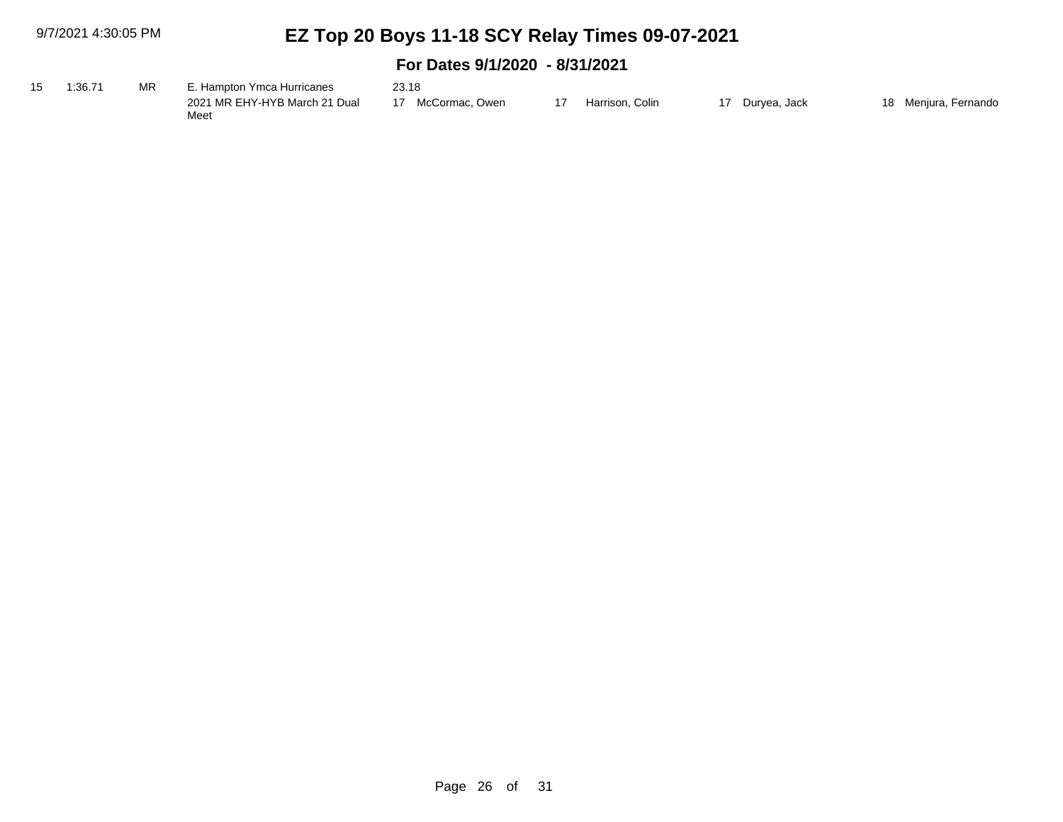| 15 | 1:36.71 | ΜR | . Hampton Ymca Hurricanes             | 23.18             |                 |              |                      |
|----|---------|----|---------------------------------------|-------------------|-----------------|--------------|----------------------|
|    |         |    | 2021 MR EHY-HYB March 21 Dual<br>Meet | 17 McCormac. Owen | Harrison. Colin | Durvea. Jack | 18 Menjura, Fernando |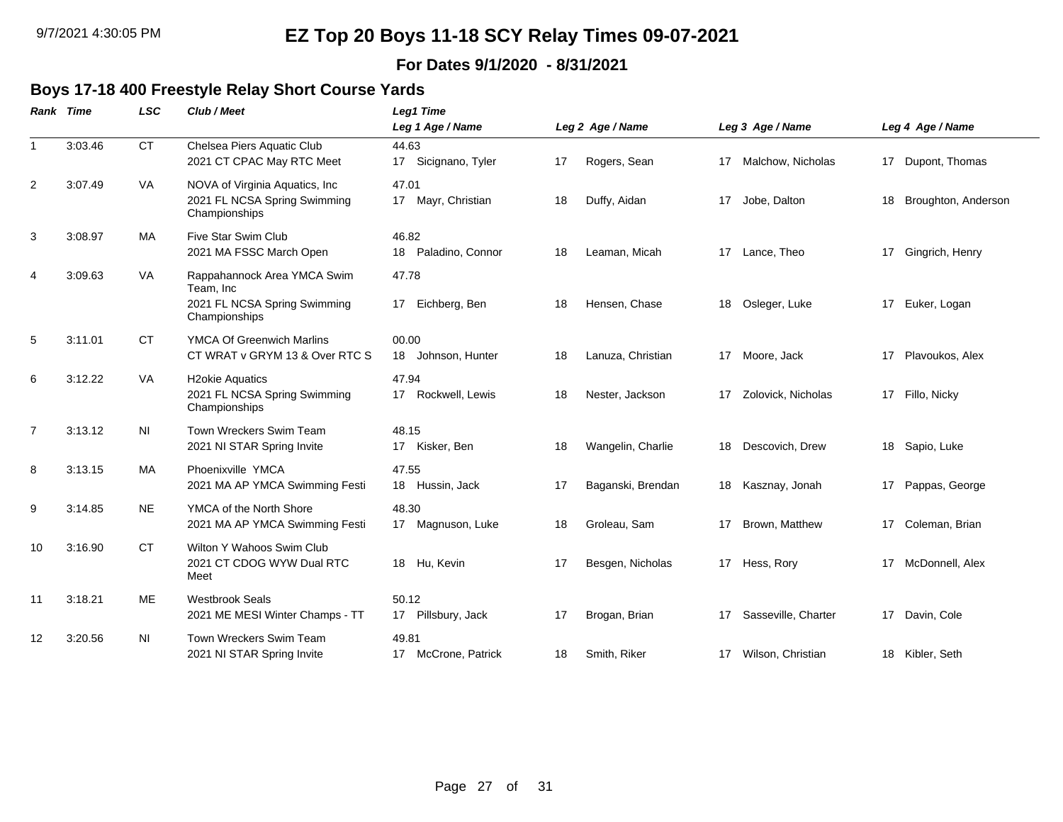#### **For Dates 9/1/2020 - 8/31/2021**

### **Boys 17-18 400 Freestyle Relay Short Course Yards**

|                | <b>Rank Time</b> | <b>LSC</b> | Club / Meet                                                                               | Leg1 Time                      |    |                   |    |                      |    |                     |
|----------------|------------------|------------|-------------------------------------------------------------------------------------------|--------------------------------|----|-------------------|----|----------------------|----|---------------------|
|                |                  |            |                                                                                           | Leg 1 Age / Name               |    | Leg 2 Age / Name  |    | Leg 3 Age / Name     |    | Leg 4 Age / Name    |
| 1              | 3:03.46          | <b>CT</b>  | Chelsea Piers Aquatic Club<br>2021 CT CPAC May RTC Meet                                   | 44.63<br>17 Sicignano, Tyler   | 17 | Rogers, Sean      |    | 17 Malchow, Nicholas |    | 17 Dupont, Thomas   |
| $\overline{2}$ | 3:07.49          | VA         | NOVA of Virginia Aquatics, Inc<br>2021 FL NCSA Spring Swimming<br>Championships           | 47.01<br>17 Mayr, Christian    | 18 | Duffy, Aidan      | 17 | Jobe, Dalton         | 18 | Broughton, Anderson |
| 3              | 3:08.97          | MA         | Five Star Swim Club<br>2021 MA FSSC March Open                                            | 46.82<br>18 Paladino, Connor   | 18 | Leaman, Micah     |    | 17 Lance, Theo       |    | 17 Gingrich, Henry  |
| 4              | 3:09.63          | VA         | Rappahannock Area YMCA Swim<br>Team, Inc<br>2021 FL NCSA Spring Swimming<br>Championships | 47.78<br>Eichberg, Ben<br>17   | 18 | Hensen, Chase     | 18 | Osleger, Luke        | 17 | Euker, Logan        |
| 5              | 3:11.01          | <b>CT</b>  | <b>YMCA Of Greenwich Marlins</b><br>CT WRAT v GRYM 13 & Over RTC S                        | 00.00<br>18<br>Johnson, Hunter | 18 | Lanuza, Christian |    | 17 Moore, Jack       | 17 | Plavoukos, Alex     |
| 6              | 3:12.22          | VA         | <b>H2okie Aquatics</b><br>2021 FL NCSA Spring Swimming<br>Championships                   | 47.94<br>17 Rockwell, Lewis    | 18 | Nester, Jackson   | 17 | Zolovick, Nicholas   |    | 17 Fillo, Nicky     |
| $\overline{7}$ | 3:13.12          | ΝI         | Town Wreckers Swim Team<br>2021 NI STAR Spring Invite                                     | 48.15<br>17 Kisker, Ben        | 18 | Wangelin, Charlie | 18 | Descovich, Drew      | 18 | Sapio, Luke         |
| 8              | 3:13.15          | MA         | Phoenixville YMCA<br>2021 MA AP YMCA Swimming Festi                                       | 47.55<br>18 Hussin, Jack       | 17 | Baganski, Brendan | 18 | Kasznay, Jonah       | 17 | Pappas, George      |
| 9              | 3:14.85          | <b>NE</b>  | YMCA of the North Shore<br>2021 MA AP YMCA Swimming Festi                                 | 48.30<br>17 Magnuson, Luke     | 18 | Groleau, Sam      | 17 | Brown, Matthew       | 17 | Coleman, Brian      |
| 10             | 3:16.90          | <b>CT</b>  | Wilton Y Wahoos Swim Club<br>2021 CT CDOG WYW Dual RTC<br>Meet                            | 18 Hu, Kevin                   | 17 | Besgen, Nicholas  |    | 17 Hess, Rory        | 17 | McDonnell, Alex     |
| 11             | 3:18.21          | <b>ME</b>  | <b>Westbrook Seals</b><br>2021 ME MESI Winter Champs - TT                                 | 50.12<br>17 Pillsbury, Jack    | 17 | Brogan, Brian     | 17 | Sasseville, Charter  | 17 | Davin, Cole         |
| 12             | 3:20.56          | <b>NI</b>  | Town Wreckers Swim Team<br>2021 NI STAR Spring Invite                                     | 49.81<br>17 McCrone, Patrick   | 18 | Smith, Riker      | 17 | Wilson, Christian    |    | 18 Kibler, Seth     |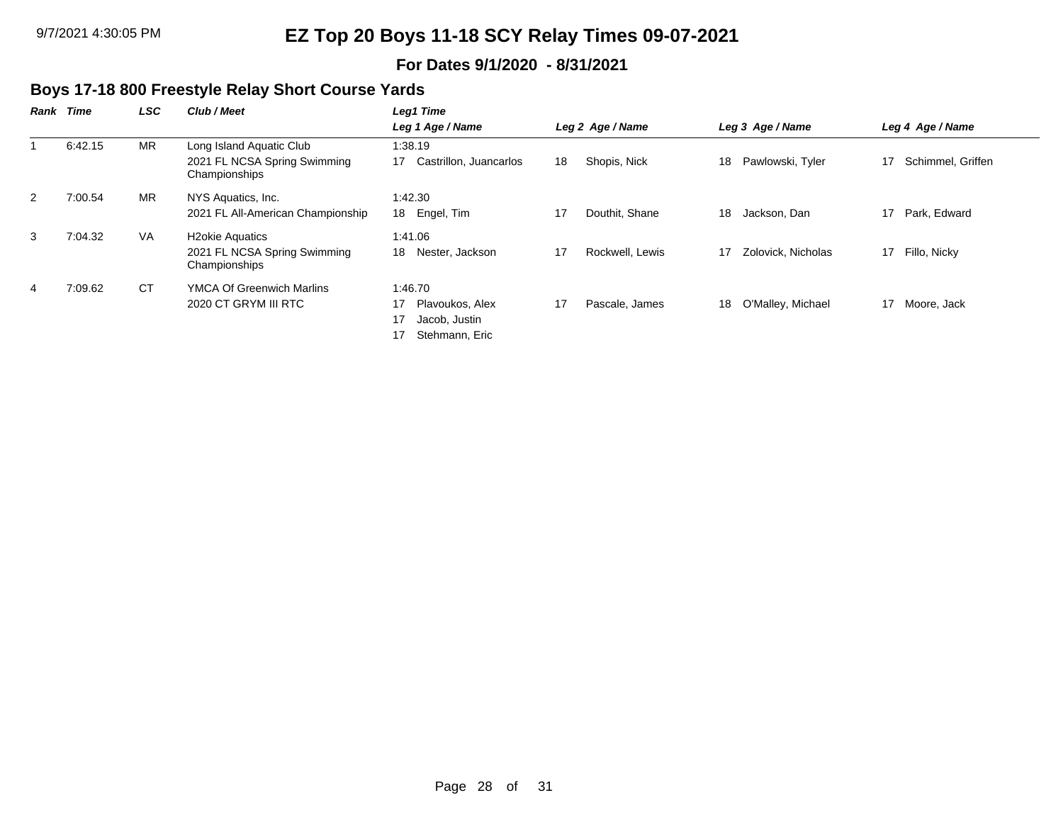#### **For Dates 9/1/2020 - 8/31/2021**

### **Boys 17-18 800 Freestyle Relay Short Course Yards**

| Rank | Time    | LSC       | Club / Meet                                                               | Leg1 Time                                                                 |                  |                 |    |                    |    |                   |  |  |
|------|---------|-----------|---------------------------------------------------------------------------|---------------------------------------------------------------------------|------------------|-----------------|----|--------------------|----|-------------------|--|--|
|      |         |           |                                                                           | Leg 1 Age / Name                                                          | Leg 2 Age / Name |                 |    | Leg 3 Age / Name   |    | Leg 4 Age / Name  |  |  |
|      | 6:42.15 | <b>MR</b> | Long Island Aquatic Club<br>2021 FL NCSA Spring Swimming<br>Championships | 1:38.19<br>17<br>Castrillon, Juancarlos                                   | 18               | Shopis, Nick    | 18 | Pawlowski, Tyler   | 17 | Schimmel, Griffen |  |  |
| 2    | 7:00.54 | <b>MR</b> | NYS Aquatics, Inc.<br>2021 FL All-American Championship                   | 1:42.30<br>Engel, Tim<br>18                                               | 17               | Douthit, Shane  | 18 | Jackson, Dan       | 17 | Park, Edward      |  |  |
| 3    | 7:04.32 | VA.       | <b>H2okie Aquatics</b><br>2021 FL NCSA Spring Swimming<br>Championships   | 1:41.06<br>18<br>Nester, Jackson                                          | 17               | Rockwell, Lewis | 17 | Zolovick, Nicholas | 17 | Fillo, Nicky      |  |  |
| 4    | 7:09.62 | <b>CT</b> | <b>YMCA Of Greenwich Marlins</b><br>2020 CT GRYM III RTC                  | 1:46.70<br>Plavoukos, Alex<br>17<br>17<br>Jacob, Justin<br>Stehmann, Eric | 17               | Pascale, James  | 18 | O'Malley, Michael  | 17 | Moore, Jack       |  |  |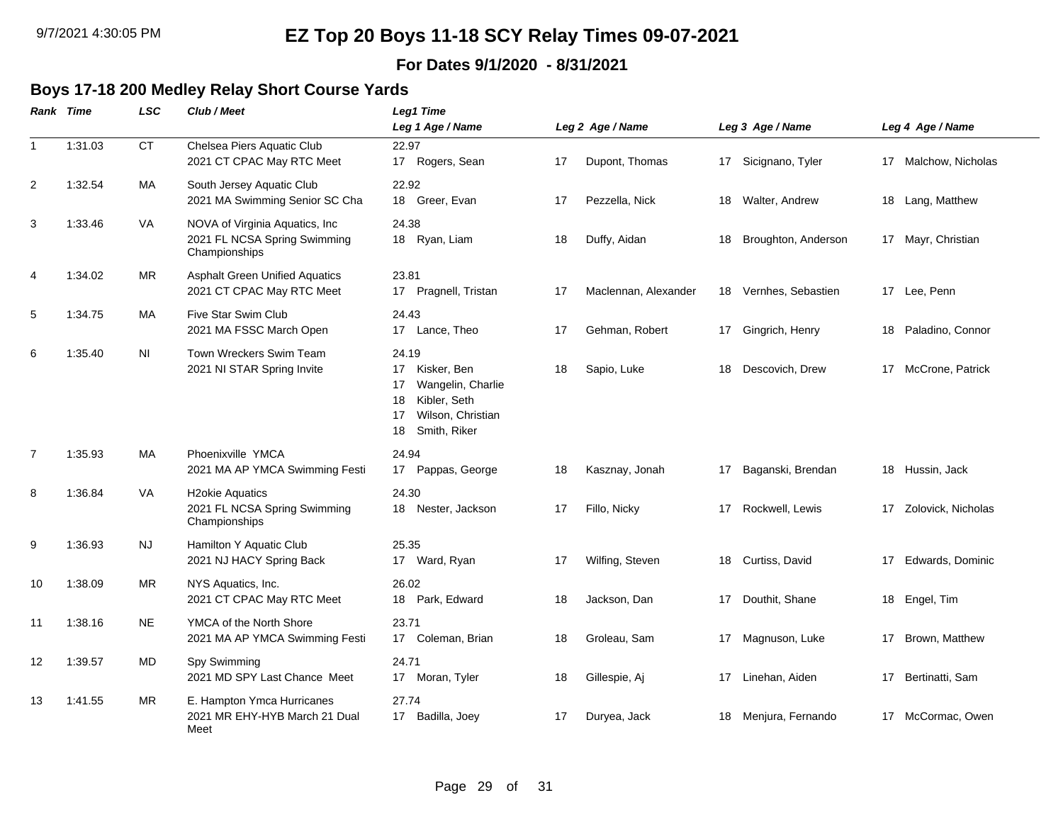### **For Dates 9/1/2020 - 8/31/2021**

# **Boys 17-18 200 Medley Relay Short Course Yards**

|                | Rank Time | <b>LSC</b> | Club / Meet                                                                      | <b>Leg1 Time</b><br>Leg 1 Age / Name                                                                                         |    | Leg 2 Age / Name     |    | Leg 3 Age / Name      |    | Leg 4 Age / Name     |
|----------------|-----------|------------|----------------------------------------------------------------------------------|------------------------------------------------------------------------------------------------------------------------------|----|----------------------|----|-----------------------|----|----------------------|
| $\mathbf{1}$   | 1:31.03   | <b>CT</b>  | Chelsea Piers Aquatic Club<br>2021 CT CPAC May RTC Meet                          | 22.97<br>17 Rogers, Sean                                                                                                     | 17 | Dupont, Thomas       |    | 17 Sicignano, Tyler   |    | 17 Malchow, Nicholas |
| $\overline{2}$ | 1:32.54   | MA         | South Jersey Aquatic Club<br>2021 MA Swimming Senior SC Cha                      | 22.92<br>18 Greer, Evan                                                                                                      | 17 | Pezzella, Nick       | 18 | Walter, Andrew        |    | 18 Lang, Matthew     |
| 3              | 1:33.46   | VA         | NOVA of Virginia Aquatics, Inc.<br>2021 FL NCSA Spring Swimming<br>Championships | 24.38<br>18 Ryan, Liam                                                                                                       | 18 | Duffy, Aidan         | 18 | Broughton, Anderson   |    | 17 Mayr, Christian   |
| $\overline{4}$ | 1:34.02   | <b>MR</b>  | <b>Asphalt Green Unified Aquatics</b><br>2021 CT CPAC May RTC Meet               | 23.81<br>17 Pragnell, Tristan                                                                                                | 17 | Maclennan, Alexander |    | 18 Vernhes, Sebastien |    | 17 Lee, Penn         |
| 5              | 1:34.75   | MA         | Five Star Swim Club<br>2021 MA FSSC March Open                                   | 24.43<br>Lance, Theo<br>17                                                                                                   | 17 | Gehman, Robert       | 17 | Gingrich, Henry       | 18 | Paladino, Connor     |
| 6              | 1:35.40   | ΝI         | Town Wreckers Swim Team<br>2021 NI STAR Spring Invite                            | 24.19<br>17<br>Kisker, Ben<br>17<br>Wangelin, Charlie<br>Kibler, Seth<br>18<br>Wilson, Christian<br>17<br>Smith, Riker<br>18 | 18 | Sapio, Luke          | 18 | Descovich, Drew       |    | 17 McCrone, Patrick  |
| $\overline{7}$ | 1:35.93   | MA         | Phoenixville YMCA<br>2021 MA AP YMCA Swimming Festi                              | 24.94<br>17 Pappas, George                                                                                                   | 18 | Kasznay, Jonah       | 17 | Baganski, Brendan     |    | 18 Hussin, Jack      |
| 8              | 1:36.84   | VA         | <b>H2okie Aquatics</b><br>2021 FL NCSA Spring Swimming<br>Championships          | 24.30<br>Nester, Jackson<br>18                                                                                               | 17 | Fillo, Nicky         | 17 | Rockwell, Lewis       | 17 | Zolovick, Nicholas   |
| 9              | 1:36.93   | <b>NJ</b>  | Hamilton Y Aquatic Club<br>2021 NJ HACY Spring Back                              | 25.35<br>17 Ward, Ryan                                                                                                       | 17 | Wilfing, Steven      | 18 | Curtiss, David        | 17 | Edwards, Dominic     |
| 10             | 1:38.09   | MR         | NYS Aquatics, Inc.<br>2021 CT CPAC May RTC Meet                                  | 26.02<br>18 Park, Edward                                                                                                     | 18 | Jackson, Dan         | 17 | Douthit, Shane        | 18 | Engel, Tim           |
| 11             | 1:38.16   | <b>NE</b>  | YMCA of the North Shore<br>2021 MA AP YMCA Swimming Festi                        | 23.71<br>17 Coleman, Brian                                                                                                   | 18 | Groleau, Sam         | 17 | Magnuson, Luke        | 17 | Brown, Matthew       |
| 12             | 1:39.57   | MD         | Spy Swimming<br>2021 MD SPY Last Chance Meet                                     | 24.71<br>17 Moran, Tyler                                                                                                     | 18 | Gillespie, Aj        | 17 | Linehan, Aiden        | 17 | Bertinatti, Sam      |
| 13             | 1:41.55   | <b>MR</b>  | E. Hampton Ymca Hurricanes<br>2021 MR EHY-HYB March 21 Dual<br>Meet              | 27.74<br>Badilla, Joey<br>17                                                                                                 | 17 | Duryea, Jack         | 18 | Menjura, Fernando     |    | 17 McCormac, Owen    |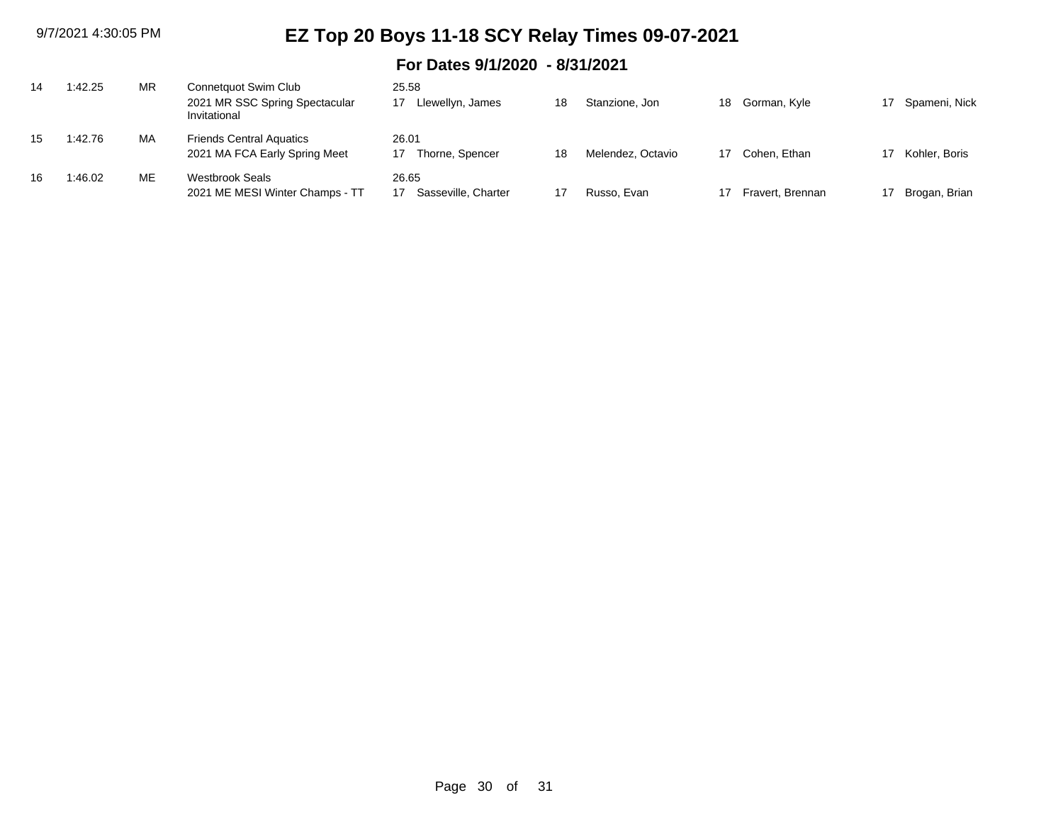| 14 | 1:42.25 | ΜR | Connetquot Swim Club<br>2021 MR SSC Spring Spectacular<br>Invitational | 25.58<br>Llewellyn, James      | 18 | Stanzione, Jon    | 18 | Gorman, Kyle     | 17 | Spameni, Nick |
|----|---------|----|------------------------------------------------------------------------|--------------------------------|----|-------------------|----|------------------|----|---------------|
| 15 | 1:42.76 | MA | <b>Friends Central Aquatics</b><br>2021 MA FCA Early Spring Meet       | 26.01<br>Thorne, Spencer<br>17 | 18 | Melendez, Octavio |    | Cohen, Ethan     |    | Kohler, Boris |
| 16 | 1:46.02 | ME | <b>Westbrook Seals</b><br>2021 ME MESI Winter Champs - TT              | 26.65<br>Sasseville, Charter   |    | Russo, Evan       |    | Fravert, Brennan |    | Brogan, Brian |